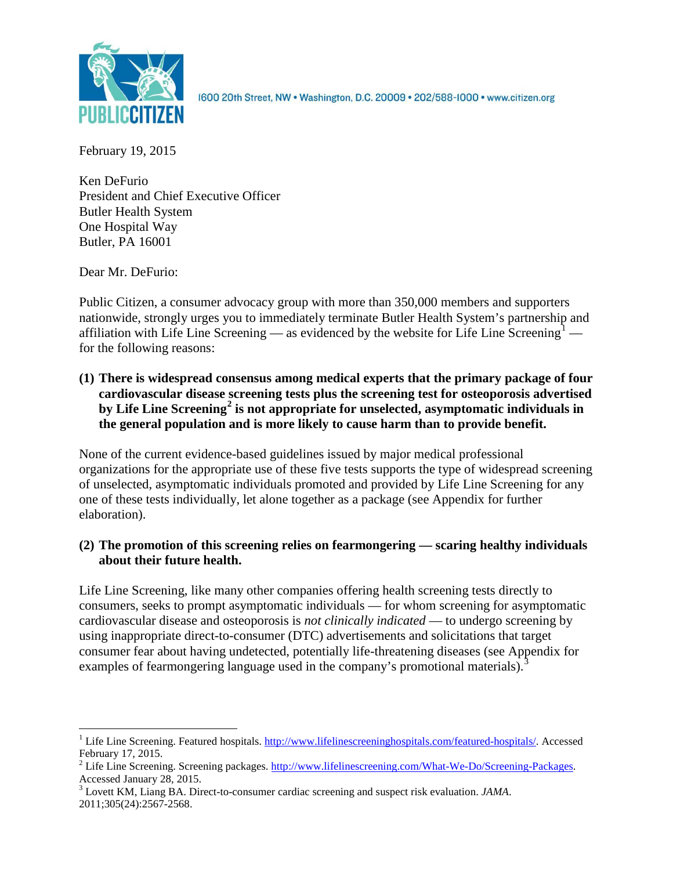

1600 20th Street, NW . Washington, D.C. 20009 . 202/588-1000 . www.citizen.org

February 19, 2015

Ken DeFurio President and Chief Executive Officer Butler Health System One Hospital Way Butler, PA 16001

Dear Mr. DeFurio:

Public Citizen, a consumer advocacy group with more than 350,000 members and supporters nationwide, strongly urges you to immediately terminate Butler Health System's partnership and affiliation with Life Line Screening — as evidenced by the website for Life Line Screening<sup>[1](#page-0-0)</sup> for the following reasons:

**(1) There is widespread consensus among medical experts that the primary package of four cardiovascular disease screening tests plus the screening test for osteoporosis advertised by Life Line Screening[2](#page-0-1) is not appropriate for unselected, asymptomatic individuals in the general population and is more likely to cause harm than to provide benefit.**

None of the current evidence-based guidelines issued by major medical professional organizations for the appropriate use of these five tests supports the type of widespread screening of unselected, asymptomatic individuals promoted and provided by Life Line Screening for any one of these tests individually, let alone together as a package (see Appendix for further elaboration).

# **(2) The promotion of this screening relies on fearmongering — scaring healthy individuals about their future health.**

Life Line Screening, like many other companies offering health screening tests directly to consumers, seeks to prompt asymptomatic individuals — for whom screening for asymptomatic cardiovascular disease and osteoporosis is *not clinically indicated* — to undergo screening by using inappropriate direct-to-consumer (DTC) advertisements and solicitations that target consumer fear about having undetected, potentially life-threatening diseases (see Appendix for examples of fearmongering language used in the company's promotional materials).<sup>[3](#page-0-2)</sup>

<span id="page-0-0"></span><sup>&</sup>lt;sup>1</sup> Life Line Screening. Featured hospitals. [http://www.lifelinescreeninghospitals.com/featured-hospitals/.](http://www.lifelinescreeninghospitals.com/featured-hospitals/) Accessed

<span id="page-0-1"></span>February 17, 2015.<br><sup>2</sup> Life Line Screening. Screening packages. [http://www.lifelinescreening.com/What-We-Do/Screening-Packages.](http://www.lifelinescreening.com/What-We-Do/Screening-Packages)<br>Accessed January 28, 2015.

<span id="page-0-2"></span><sup>&</sup>lt;sup>3</sup> Lovett KM, Liang BA. Direct-to-consumer cardiac screening and suspect risk evaluation. *JAMA*. 2011;305(24):2567-2568.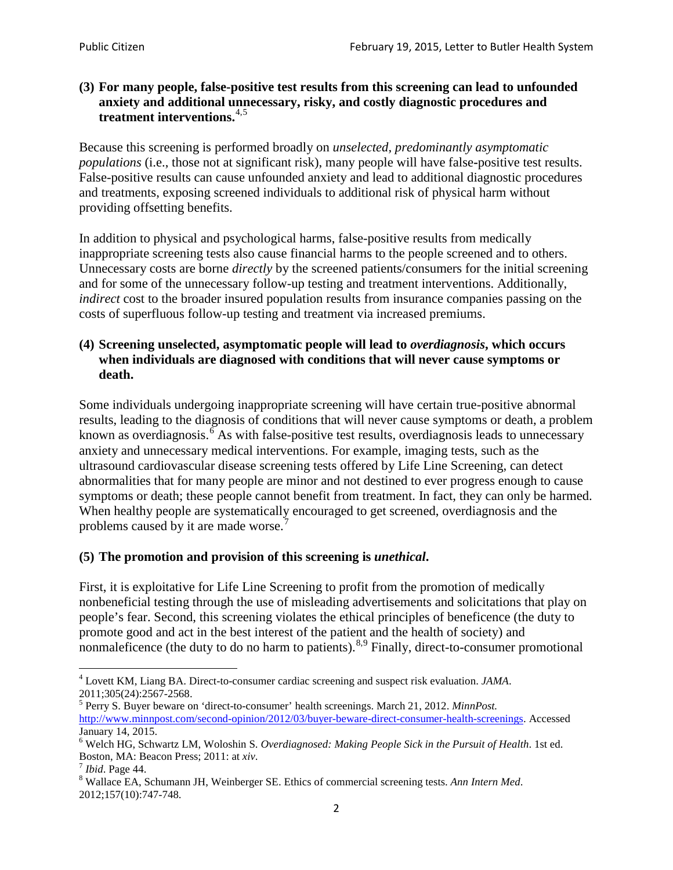## **(3) For many people, false-positive test results from this screening can lead to unfounded anxiety and additional unnecessary, risky, and costly diagnostic procedures and treatment interventions.**[4](#page-1-0),[5](#page-1-1)

Because this screening is performed broadly on *unselected, predominantly asymptomatic populations* (i.e., those not at significant risk), many people will have false**-**positive test results. False-positive results can cause unfounded anxiety and lead to additional diagnostic procedures and treatments, exposing screened individuals to additional risk of physical harm without providing offsetting benefits.

In addition to physical and psychological harms, false-positive results from medically inappropriate screening tests also cause financial harms to the people screened and to others. Unnecessary costs are borne *directly* by the screened patients/consumers for the initial screening and for some of the unnecessary follow-up testing and treatment interventions. Additionally, *indirect* cost to the broader insured population results from insurance companies passing on the costs of superfluous follow-up testing and treatment via increased premiums.

## **(4) Screening unselected, asymptomatic people will lead to** *overdiagnosis***, which occurs when individuals are diagnosed with conditions that will never cause symptoms or death.**

Some individuals undergoing inappropriate screening will have certain true-positive abnormal results, leading to the diagnosis of conditions that will never cause symptoms or death, a problem known as overdiagnosis.<sup>[6](#page-1-2)</sup> As with false-positive test results, overdiagnosis leads to unnecessary anxiety and unnecessary medical interventions. For example, imaging tests, such as the ultrasound cardiovascular disease screening tests offered by Life Line Screening, can detect abnormalities that for many people are minor and not destined to ever progress enough to cause symptoms or death; these people cannot benefit from treatment. In fact, they can only be harmed. When healthy people are systematically encouraged to get screened, overdiagnosis and the problems caused by it are made worse.<sup>[7](#page-1-3)</sup>

# **(5) The promotion and provision of this screening is** *unethical***.**

First, it is exploitative for Life Line Screening to profit from the promotion of medically nonbeneficial testing through the use of misleading advertisements and solicitations that play on people's fear. Second, this screening violates the ethical principles of beneficence (the duty to promote good and act in the best interest of the patient and the health of society) and nonmaleficence (the duty to do no harm to patients).<sup>[8](#page-1-4),[9](#page-1-5)</sup> Finally, direct-to-consumer promotional

<span id="page-1-4"></span>2012;157(10):747-748.

<span id="page-1-5"></span><span id="page-1-0"></span><sup>4</sup> Lovett KM, Liang BA. Direct-to-consumer cardiac screening and suspect risk evaluation. *JAMA*.

<span id="page-1-1"></span><sup>2011;305(24):2567-2568.</sup> <sup>5</sup> Perry S. Buyer beware on 'direct-to-consumer' health screenings. March 21, 2012. *MinnPost.*  [http://www.minnpost.com/second-opinion/2012/03/buyer-beware-direct-consumer-health-screenings.](http://www.minnpost.com/second-opinion/2012/03/buyer-beware-direct-consumer-health-screenings) Accessed January 14, 2015.

<span id="page-1-2"></span><sup>6</sup> Welch HG, Schwartz LM, Woloshin S. *Overdiagnosed: Making People Sick in the Pursuit of Health*. 1st ed. Boston, MA: Beacon Press; 2011: at *xiv*.<br><sup>7</sup> *Ibid*. Page 44.<br><sup>8</sup> Wallace EA, Schumann JH, Weinberger SE. Ethics of commercial screening tests. *Ann Intern Med*.

<span id="page-1-3"></span>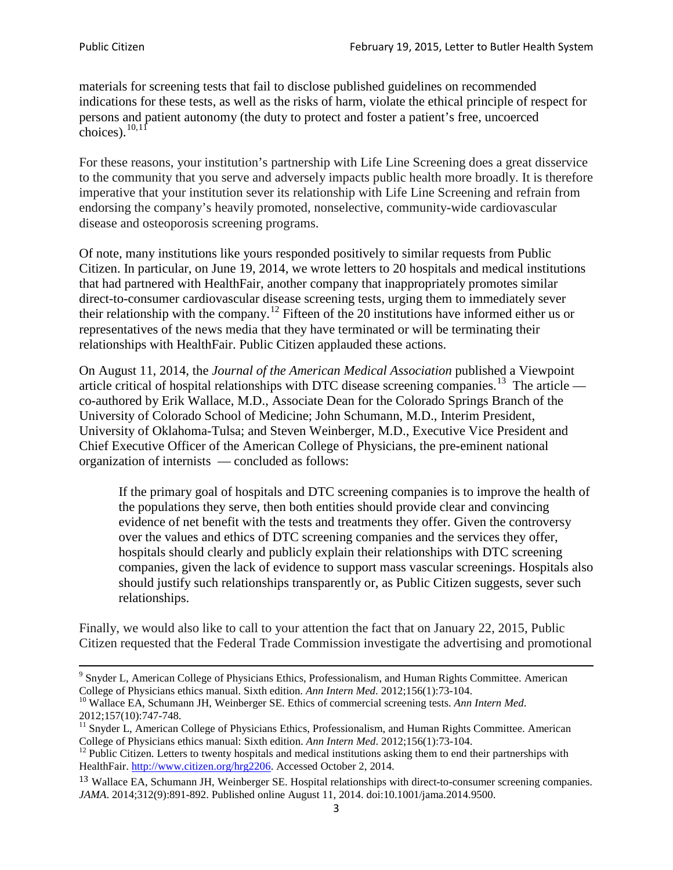materials for screening tests that fail to disclose published guidelines on recommended indications for these tests, as well as the risks of harm, violate the ethical principle of respect for persons and patient autonomy (the duty to protect and foster a patient's free, uncoerced choices). $\frac{10,11}{10,11}$  $\frac{10,11}{10,11}$  $\frac{10,11}{10,11}$  $\frac{10,11}{10,11}$ 

For these reasons, your institution's partnership with Life Line Screening does a great disservice to the community that you serve and adversely impacts public health more broadly. It is therefore imperative that your institution sever its relationship with Life Line Screening and refrain from endorsing the company's heavily promoted, nonselective, community**-**wide cardiovascular disease and osteoporosis screening programs.

Of note, many institutions like yours responded positively to similar requests from Public Citizen. In particular, on June 19, 2014, we wrote letters to 20 hospitals and medical institutions that had partnered with HealthFair, another company that inappropriately promotes similar direct-to-consumer cardiovascular disease screening tests, urging them to immediately sever their relationship with the company. [12](#page-2-2) Fifteen of the 20 institutions have informed either us or representatives of the news media that they have terminated or will be terminating their relationships with HealthFair. Public Citizen applauded these actions.

On August 11, 2014, the *Journal of the American Medical Association* published a Viewpoint article critical of hospital relationships with DTC disease screening companies.<sup>13</sup> The article co-authored by Erik Wallace, M.D., Associate Dean for the Colorado Springs Branch of the University of Colorado School of Medicine; John Schumann, M.D., Interim President, University of Oklahoma-Tulsa; and Steven Weinberger, M.D., Executive Vice President and Chief Executive Officer of the American College of Physicians, the pre**-**eminent national organization of internists — concluded as follows:

If the primary goal of hospitals and DTC screening companies is to improve the health of the populations they serve, then both entities should provide clear and convincing evidence of net benefit with the tests and treatments they offer. Given the controversy over the values and ethics of DTC screening companies and the services they offer, hospitals should clearly and publicly explain their relationships with DTC screening companies, given the lack of evidence to support mass vascular screenings. Hospitals also should justify such relationships transparently or, as Public Citizen suggests, sever such relationships.

Finally, we would also like to call to your attention the fact that on January 22, 2015, Public Citizen requested that the Federal Trade Commission investigate the advertising and promotional

<sup>&</sup>lt;sup>9</sup> Snyder L, American College of Physicians Ethics, Professionalism, and Human Rights Committee. American College of Physicians ethics manual. Sixth edition. Ann Intern Med. 2012;156(1):73-104.

<span id="page-2-0"></span><sup>&</sup>lt;sup>10</sup> Wallace EA, Schumann JH, Weinberger SE. Ethics of commercial screening tests. *Ann Intern Med*. 2012;157(10):747-748.

<span id="page-2-1"></span> $11$  Snyder L, American College of Physicians Ethics, Professionalism, and Human Rights Committee. American College of Physicians ethics manual: Sixth edition. *Ann Intern Med*. 2012;156(1):73-104.<br><sup>12</sup> Public Citizen. Letters to twenty hospitals and medical institutions asking them to end their partnerships with

<span id="page-2-2"></span>HealthFair. [http://www.citizen.org/hrg2206.](http://www.citizen.org/hrg2206) Accessed October 2, 2014.

<span id="page-2-3"></span><sup>13</sup> Wallace EA, Schumann JH, Weinberger SE. Hospital relationships with direct-to-consumer screening companies. *JAMA*. 2014;312(9):891-892. Published online August 11, 2014. doi:10.1001/jama.2014.9500.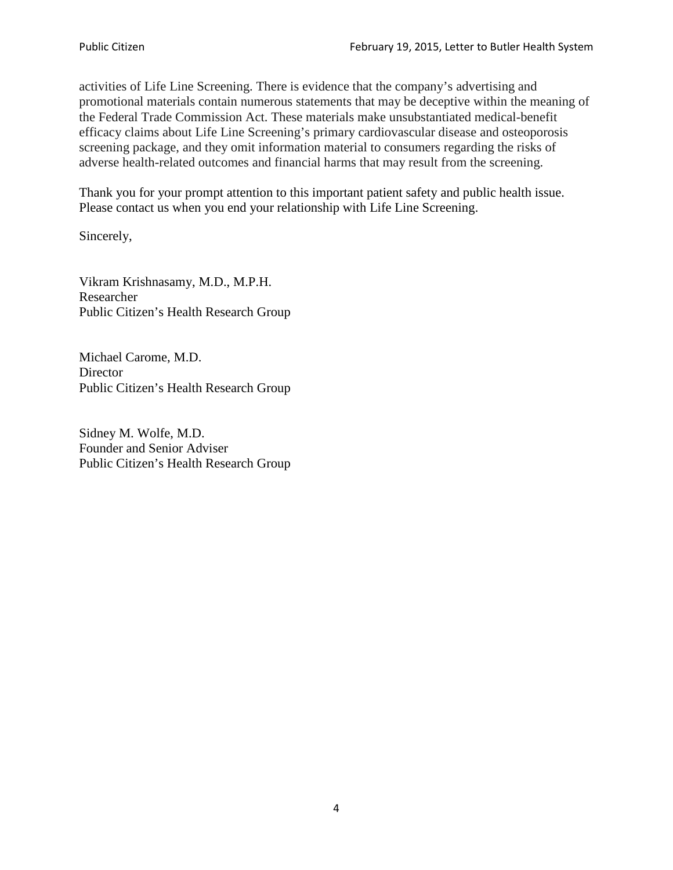activities of Life Line Screening. There is evidence that the company's advertising and promotional materials contain numerous statements that may be deceptive within the meaning of the Federal Trade Commission Act. These materials make unsubstantiated medical-benefit efficacy claims about Life Line Screening's primary cardiovascular disease and osteoporosis screening package, and they omit information material to consumers regarding the risks of adverse health-related outcomes and financial harms that may result from the screening.

Thank you for your prompt attention to this important patient safety and public health issue. Please contact us when you end your relationship with Life Line Screening.

Sincerely,

Vikram Krishnasamy, M.D., M.P.H. Researcher Public Citizen's Health Research Group

Michael Carome, M.D. **Director** Public Citizen's Health Research Group

Sidney M. Wolfe, M.D. Founder and Senior Adviser Public Citizen's Health Research Group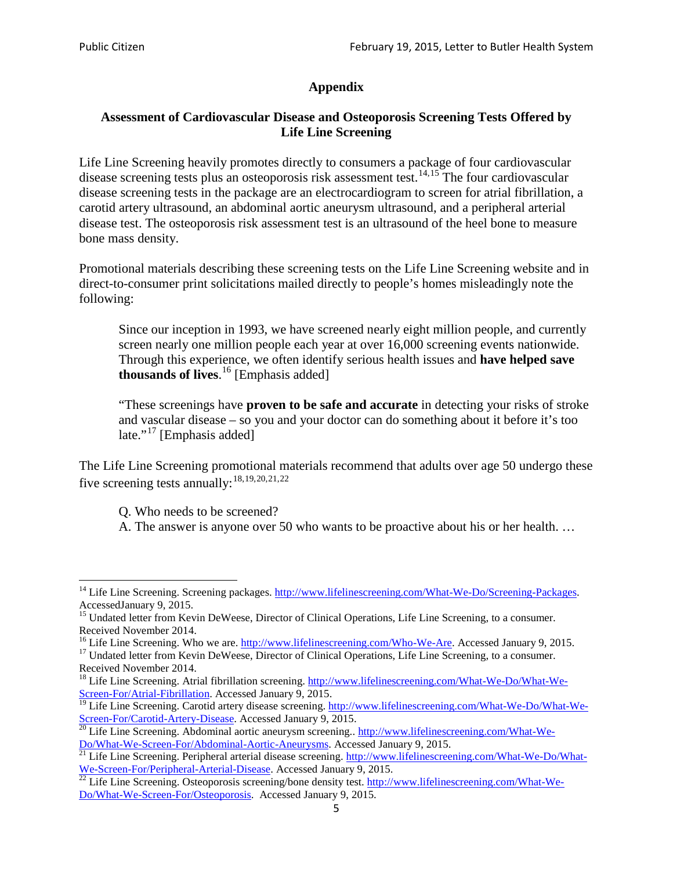# **Appendix**

# **Assessment of Cardiovascular Disease and Osteoporosis Screening Tests Offered by Life Line Screening**

Life Line Screening heavily promotes directly to consumers a package of four cardiovascular disease screening tests plus an osteoporosis risk assessment test.<sup>[14](#page-4-0),[15](#page-4-1)</sup> The four cardiovascular disease screening tests in the package are an electrocardiogram to screen for atrial fibrillation, a carotid artery ultrasound, an abdominal aortic aneurysm ultrasound, and a peripheral arterial disease test. The osteoporosis risk assessment test is an ultrasound of the heel bone to measure bone mass density.

Promotional materials describing these screening tests on the Life Line Screening website and in direct-to-consumer print solicitations mailed directly to people's homes misleadingly note the following:

Since our inception in 1993, we have screened nearly eight million people, and currently screen nearly one million people each year at over 16,000 screening events nationwide. Through this experience, we often identify serious health issues and **have helped save thousands of lives**. [16](#page-4-2) [Emphasis added]

"These screenings have **proven to be safe and accurate** in detecting your risks of stroke and vascular disease – so you and your doctor can do something about it before it's too late."<sup>[17](#page-4-3)</sup> [Emphasis added]

The Life Line Screening promotional materials recommend that adults over age 50 undergo these five screening tests annually:<sup>[18](#page-4-4),[19,](#page-4-5)[20,](#page-4-6)[21](#page-4-7),[22](#page-4-8)</sup>

Q. Who needs to be screened?

A. The answer is anyone over 50 who wants to be proactive about his or her health. …

<span id="page-4-0"></span><sup>&</sup>lt;sup>14</sup> Life Line Screening. Screening packages. [http://www.lifelinescreening.com/What-We-Do/Screening-Packages.](http://www.lifelinescreening.com/What-We-Do/Screening-Packages) AccessedJanuary 9, 2015.

<span id="page-4-1"></span><sup>&</sup>lt;sup>15</sup> Undated letter from Kevin DeWeese, Director of Clinical Operations, Life Line Screening, to a consumer.

Received November 2014.<br><sup>16</sup> Life Line Screening. Who we are. http://www.lifelinescreening.com/Who-We-Are. Accessed January 9, 2015.

<span id="page-4-3"></span><span id="page-4-2"></span><sup>&</sup>lt;sup>17</sup> Undated letter from Kevin DeWeese, Director of Clinical Operations, Life Line Screening, to a consumer. Received November 2014.

<span id="page-4-4"></span><sup>&</sup>lt;sup>18</sup> Life Line Screening. Atrial fibrillation screening. [http://www.lifelinescreening.com/What-We-Do/What-We-](http://www.lifelinescreening.com/What-We-Do/What-We-Screen-For/Atrial-Fibrillation)[Screen-For/Atrial-Fibrillation.](http://www.lifelinescreening.com/What-We-Do/What-We-Screen-For/Atrial-Fibrillation) Accessed January 9, 2015.

<sup>&</sup>lt;sup>19</sup> Life Line Screening. Carotid artery disease screening. [http://www.lifelinescreening.com/What-We-Do/What-We-](http://www.lifelinescreening.com/What-We-Do/What-We-Screen-For/Carotid-Artery-Disease)

<span id="page-4-6"></span><span id="page-4-5"></span>[Screen-For/Carotid-Artery-Disease.](http://www.lifelinescreening.com/What-We-Do/What-We-Screen-For/Carotid-Artery-Disease) Accessed January 9, 2015.<br><sup>20</sup> Life Line Screening. Abdominal aortic aneurysm screening.. http://www.lifelinescreening.com/What-We-<br>Do/What-We-Screen-For/Abdominal-Aortic-Aneurysms. Acces

<span id="page-4-7"></span><sup>&</sup>lt;sup>21</sup> Life Line Screening. Peripheral arterial disease screening. [http://www.lifelinescreening.com/What-We-Do/What-](http://www.lifelinescreening.com/What-We-Do/What-We-Screen-For/Peripheral-Arterial-Disease)

<span id="page-4-8"></span>[We-Screen-For/Peripheral-Arterial-Disease.](http://www.lifelinescreening.com/What-We-Do/What-We-Screen-For/Peripheral-Arterial-Disease) Accessed January 9, 2015.<br><sup>22</sup> Life Line Screening. Osteoporosis screening/bone density test. [http://www.lifelinescreening.com/What-We-](http://www.lifelinescreening.com/What-We-Do/What-We-Screen-For/Osteoporosis)[Do/What-We-Screen-For/Osteoporosis.](http://www.lifelinescreening.com/What-We-Do/What-We-Screen-For/Osteoporosis) Accessed January 9, 2015.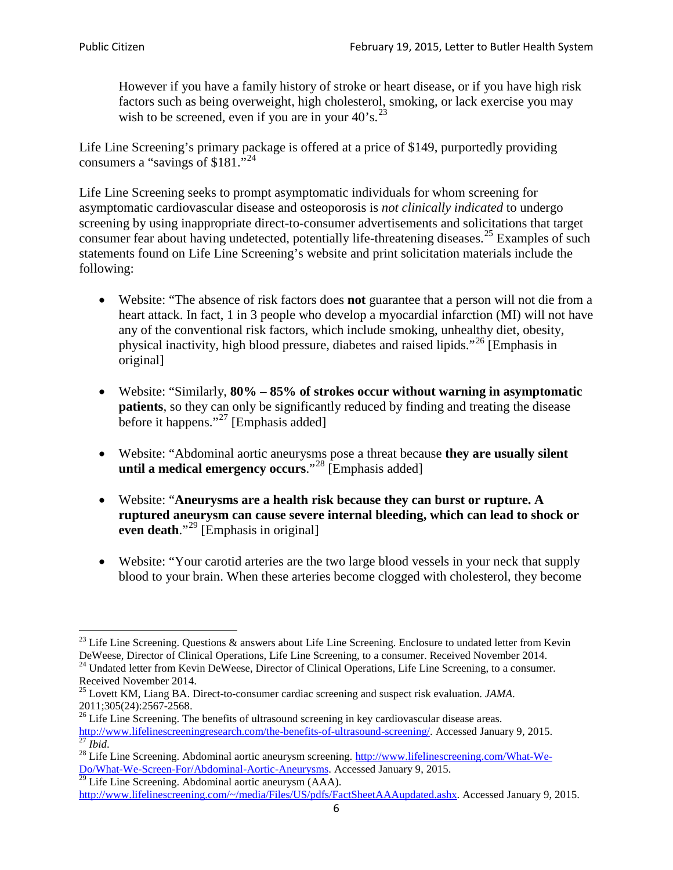However if you have a family history of stroke or heart disease, or if you have high risk factors such as being overweight, high cholesterol, smoking, or lack exercise you may wish to be screened, even if you are in your  $40^\circ$ s.<sup>[23](#page-5-0)</sup>

Life Line Screening's primary package is offered at a price of \$149, purportedly providing consumers a "savings of \$181."<sup>[24](#page-5-1)</sup>

Life Line Screening seeks to prompt asymptomatic individuals for whom screening for asymptomatic cardiovascular disease and osteoporosis is *not clinically indicated* to undergo screening by using inappropriate direct-to-consumer advertisements and solicitations that target consumer fear about having undetected, potentially life-threatening diseases.<sup>[25](#page-5-2)</sup> Examples of such statements found on Life Line Screening's website and print solicitation materials include the following:

- Website: "The absence of risk factors does **not** guarantee that a person will not die from a heart attack. In fact, 1 in 3 people who develop a myocardial infarction (MI) will not have any of the conventional risk factors, which include smoking, unhealthy diet, obesity, physical inactivity, high blood pressure, diabetes and raised lipids."[26](#page-5-3) [Emphasis in original]
- Website: "Similarly, **80% – 85% of strokes occur without warning in asymptomatic patients**, so they can only be significantly reduced by finding and treating the disease before it happens."<sup>[27](#page-5-4)</sup> [Emphasis added]
- Website: "Abdominal aortic aneurysms pose a threat because **they are usually silent until a medical emergency occurs**."[28](#page-5-5) [Emphasis added]
- Website: "**Aneurysms are a health risk because they can burst or rupture. A ruptured aneurysm can cause severe internal bleeding, which can lead to shock or even death.**"<sup>[29](#page-5-6)</sup> [Emphasis in original]
- Website: "Your carotid arteries are the two large blood vessels in your neck that supply blood to your brain. When these arteries become clogged with cholesterol, they become

<span id="page-5-0"></span><sup>&</sup>lt;sup>23</sup> Life Line Screening. Questions  $\&$  answers about Life Line Screening. Enclosure to undated letter from Kevin DeWeese, Director of Clinical Operations, Life Line Screening, to a consumer. Received November 2014.

<span id="page-5-1"></span><sup>&</sup>lt;sup>24</sup> Undated letter from Kevin DeWeese, Director of Clinical Operations, Life Line Screening, to a consumer. Received November 2014.

<span id="page-5-2"></span><sup>25</sup> Lovett KM, Liang BA. Direct-to-consumer cardiac screening and suspect risk evaluation. *JAMA*.  $2011;305(24):2567-2568$ .<br><sup>26</sup> Life Line Screening. The benefits of ultrasound screening in key cardiovascular disease areas.

<span id="page-5-3"></span>[http://www.lifelinescreeningresearch.com/the-benefits-of-ultrasound-screening/.](http://www.lifelinescreeningresearch.com/the-benefits-of-ultrasound-screening/) Accessed January 9, 2015.<br><sup>28</sup> Life Line Screening. Abdominal aortic aneurysm screening. http://www.lifelinescreening.com/What-We-<br><sup>28</sup> Life L

<span id="page-5-5"></span><span id="page-5-4"></span>[Do/What-We-Screen-For/Abdominal-Aortic-Aneurysms.](http://www.lifelinescreening.com/What-We-Do/What-We-Screen-For/Abdominal-Aortic-Aneurysms) Accessed January 9, 2015. <sup>29</sup> Life Line Screening. Abdominal aortic aneurysm (AAA).

<span id="page-5-6"></span>[http://www.lifelinescreening.com/~/media/Files/US/pdfs/FactSheetAAAupdated.ashx.](http://www.lifelinescreening.com/~/media/Files/US/pdfs/FactSheetAAAupdated.ashx) Accessed January 9, 2015.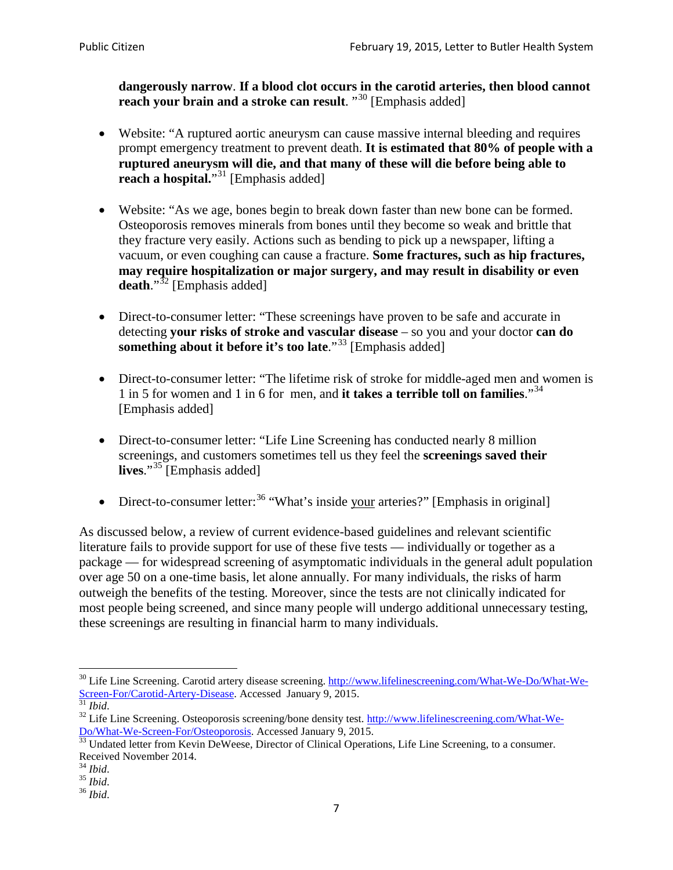**dangerously narrow**. **If a blood clot occurs in the carotid arteries, then blood cannot reach your brain and a stroke can result**. "<sup>[30](#page-6-0)</sup> [Emphasis added]

- Website: "A ruptured aortic aneurysm can cause massive internal bleeding and requires prompt emergency treatment to prevent death. **It is estimated that 80% of people with a ruptured aneurysm will die, and that many of these will die before being able to reach a hospital.**"<sup>[31](#page-6-1)</sup> [Emphasis added]
- Website: "As we age, bones begin to break down faster than new bone can be formed. Osteoporosis removes minerals from bones until they become so weak and brittle that they fracture very easily. Actions such as bending to pick up a newspaper, lifting a vacuum, or even coughing can cause a fracture. **Some fractures, such as hip fractures, may require hospitalization or major surgery, and may result in disability or even**  death."<sup>[32](#page-6-2)</sup> [Emphasis added]
- Direct-to-consumer letter: "These screenings have proven to be safe and accurate in detecting **your risks of stroke and vascular disease** – so you and your doctor **can do something about it before it's too late**."<sup>[33](#page-6-3)</sup> [Emphasis added]
- Direct-to-consumer letter: "The lifetime risk of stroke for middle-aged men and women is 1 in 5 for women and 1 in 6 for men, and **it takes a terrible toll on families**."[34](#page-6-4) [Emphasis added]
- Direct-to-consumer letter: "Life Line Screening has conducted nearly 8 million screenings, and customers sometimes tell us they feel the **screenings saved their lives**."[35](#page-6-5) [Emphasis added]
- Direct-to-consumer letter:  $36$  "What's inside your arteries?" [Emphasis in original]

As discussed below, a review of current evidence-based guidelines and relevant scientific literature fails to provide support for use of these five tests — individually or together as a package — for widespread screening of asymptomatic individuals in the general adult population over age 50 on a one-time basis, let alone annually. For many individuals, the risks of harm outweigh the benefits of the testing. Moreover, since the tests are not clinically indicated for most people being screened, and since many people will undergo additional unnecessary testing, these screenings are resulting in financial harm to many individuals.

<span id="page-6-0"></span><sup>&</sup>lt;sup>30</sup> Life Line Screening. Carotid artery disease screening. [http://www.lifelinescreening.com/What-We-Do/What-We-](http://www.lifelinescreening.com/What-We-Do/What-We-Screen-For/Carotid-Artery-Disease)[Screen-For/Carotid-Artery-Disease.](http://www.lifelinescreening.com/What-We-Do/What-We-Screen-For/Carotid-Artery-Disease) Accessed January 9, 2015.<br><sup>31</sup> *Ibid.* 32 Life Line Screening. Osteoporosis screening/bone density test. [http://www.lifelinescreening.com/What-We-](http://www.lifelinescreening.com/What-We-Do/What-We-Screen-For/Osteoporosis)

<span id="page-6-2"></span><span id="page-6-1"></span>[Do/What-We-Screen-For/Osteoporosis.](http://www.lifelinescreening.com/What-We-Do/What-We-Screen-For/Osteoporosis) Accessed January 9, 2015. <sup>33</sup> Undated letter from Kevin DeWeese, Director of Clinical Operations, Life Line Screening, to a consumer.

<span id="page-6-3"></span>Received November 2014.<br><sup>34</sup> Ibid.

<span id="page-6-4"></span>

<span id="page-6-5"></span><sup>34</sup> *Ibid*. 35 *Ibid*. 36 *Ibid*.

<span id="page-6-6"></span>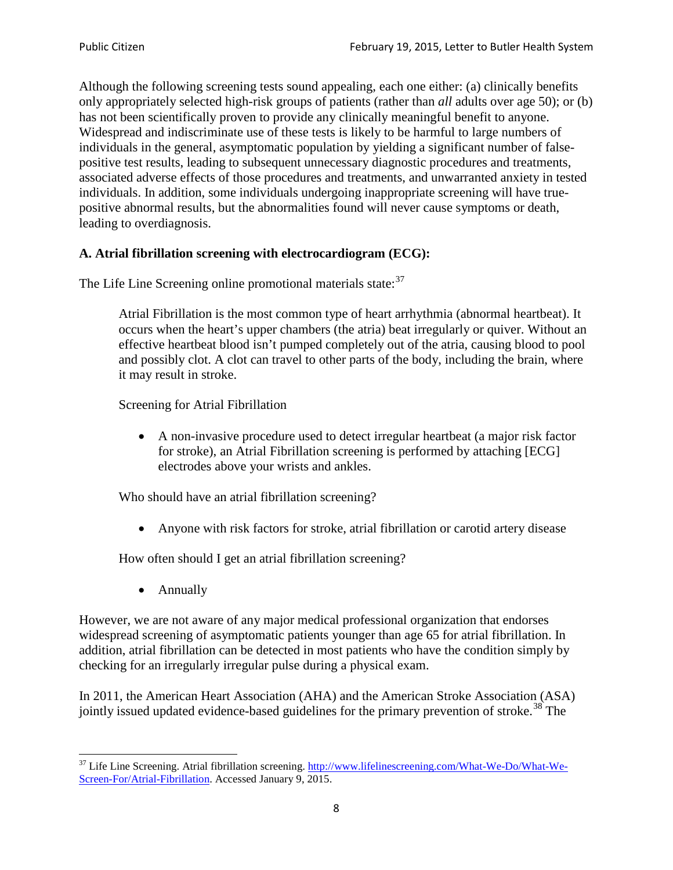Although the following screening tests sound appealing, each one either: (a) clinically benefits only appropriately selected high-risk groups of patients (rather than *all* adults over age 50); or (b) has not been scientifically proven to provide any clinically meaningful benefit to anyone. Widespread and indiscriminate use of these tests is likely to be harmful to large numbers of individuals in the general, asymptomatic population by yielding a significant number of falsepositive test results, leading to subsequent unnecessary diagnostic procedures and treatments, associated adverse effects of those procedures and treatments, and unwarranted anxiety in tested individuals. In addition, some individuals undergoing inappropriate screening will have truepositive abnormal results, but the abnormalities found will never cause symptoms or death, leading to overdiagnosis.

# **A. Atrial fibrillation screening with electrocardiogram (ECG):**

The Life Line Screening online promotional materials state:<sup>[37](#page-7-0)</sup>

Atrial Fibrillation is the most common type of heart arrhythmia (abnormal heartbeat). It occurs when the heart's upper chambers (the atria) beat irregularly or quiver. Without an effective heartbeat blood isn't pumped completely out of the atria, causing blood to pool and possibly clot. A clot can travel to other parts of the body, including the brain, where it may result in stroke.

Screening for Atrial Fibrillation

• A non-invasive procedure used to detect irregular heartbeat (a major risk factor for stroke), an Atrial Fibrillation screening is performed by attaching [ECG] electrodes above your wrists and ankles.

Who should have an atrial fibrillation screening?

• Anyone with risk factors for stroke, atrial fibrillation or carotid artery disease

How often should I get an atrial fibrillation screening?

• Annually

<span id="page-7-1"></span>However, we are not aware of any major medical professional organization that endorses widespread screening of asymptomatic patients younger than age 65 for atrial fibrillation. In addition, atrial fibrillation can be detected in most patients who have the condition simply by checking for an irregularly irregular pulse during a physical exam.

In 2011, the American Heart Association (AHA) and the American Stroke Association (ASA) jointly issued updated evidence-based guidelines for the primary prevention of stroke.<sup>[38](#page-7-1)</sup> The

<span id="page-7-0"></span><sup>&</sup>lt;sup>37</sup> Life Line Screening. Atrial fibrillation screening. [http://www.lifelinescreening.com/What-We-Do/What-We-](http://www.lifelinescreening.com/What-We-Do/What-We-Screen-For/Atrial-Fibrillation)[Screen-For/Atrial-Fibrillation.](http://www.lifelinescreening.com/What-We-Do/What-We-Screen-For/Atrial-Fibrillation) Accessed January 9, 2015.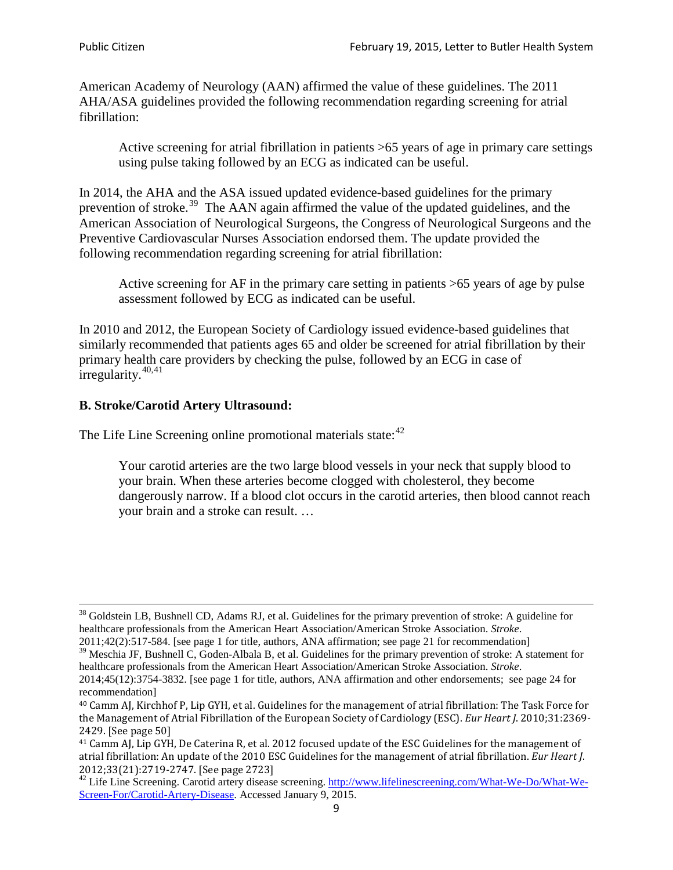American Academy of Neurology (AAN) affirmed the value of these guidelines. The 2011 AHA/ASA guidelines provided the following recommendation regarding screening for atrial fibrillation:

Active screening for atrial fibrillation in patients >65 years of age in primary care settings using pulse taking followed by an ECG as indicated can be useful.

In 2014, the AHA and the ASA issued updated evidence-based guidelines for the primary prevention of stroke.<sup>[39](#page-8-0)</sup> The AAN again affirmed the value of the updated guidelines, and the American Association of Neurological Surgeons, the Congress of Neurological Surgeons and the Preventive Cardiovascular Nurses Association endorsed them. The update provided the following recommendation regarding screening for atrial fibrillation:

Active screening for AF in the primary care setting in patients >65 years of age by pulse assessment followed by ECG as indicated can be useful.

In 2010 and 2012, the European Society of Cardiology issued evidence-based guidelines that similarly recommended that patients ages 65 and older be screened for atrial fibrillation by their primary health care providers by checking the pulse, followed by an ECG in case of irregularity. $40,41$  $40,41$ 

# **B. Stroke/Carotid Artery Ultrasound:**

The Life Line Screening online promotional materials state:<sup>[42](#page-8-3)</sup>

Your carotid arteries are the two large blood vessels in your neck that supply blood to your brain. When these arteries become clogged with cholesterol, they become dangerously narrow. If a blood clot occurs in the carotid arteries, then blood cannot reach your brain and a stroke can result. …

<sup>&</sup>lt;sup>38</sup> Goldstein LB, Bushnell CD, Adams RJ, et al. Guidelines for the primary prevention of stroke: A guideline for healthcare professionals from the American Heart Association/American Stroke Association. *Stroke*.

<sup>2011;42(2):517-584.</sup> [see page 1 for title, authors, ANA affirmation; see page 21 for recommendation]

<span id="page-8-0"></span> $\frac{2011,42(2)(317,601)}{39}$  Meschia JF, Bushnell C, Goden-Albala B, et al. Guidelines for the primary prevention of stroke: A statement for healthcare professionals from the American Heart Association/American Stroke Association. *Stroke*.

<sup>2014;45(12):3754-3832.</sup> [see page 1 for title, authors, ANA affirmation and other endorsements; see page 24 for recommendation]

<span id="page-8-1"></span><sup>40</sup> Camm AJ, Kirchhof P, Lip GYH, et al. Guidelines for the management of atrial fibrillation: The Task Force for the Management of Atrial Fibrillation of the European Society of Cardiology (ESC). *Eur Heart J*. 2010;31:2369- 2429. [See page 50]

<span id="page-8-2"></span><sup>41</sup> Camm AJ, Lip GYH, De Caterina R, et al. 2012 focused update of the ESC Guidelines for the management of atrial fibrillation: An update of the 2010 ESC Guidelines for the management of atrial fibrillation. *Eur Heart J*.

<span id="page-8-3"></span><sup>&</sup>lt;sup>2012</sup>;23(21):2719-2747. [See page 2733] 42 Life Line Screening. [http://www.lifelinescreening.com/What-We-Do/What-We-](http://www.lifelinescreening.com/What-We-Do/What-We-Screen-For/Carotid-Artery-Disease)[Screen-For/Carotid-Artery-Disease.](http://www.lifelinescreening.com/What-We-Do/What-We-Screen-For/Carotid-Artery-Disease) Accessed January 9, 2015.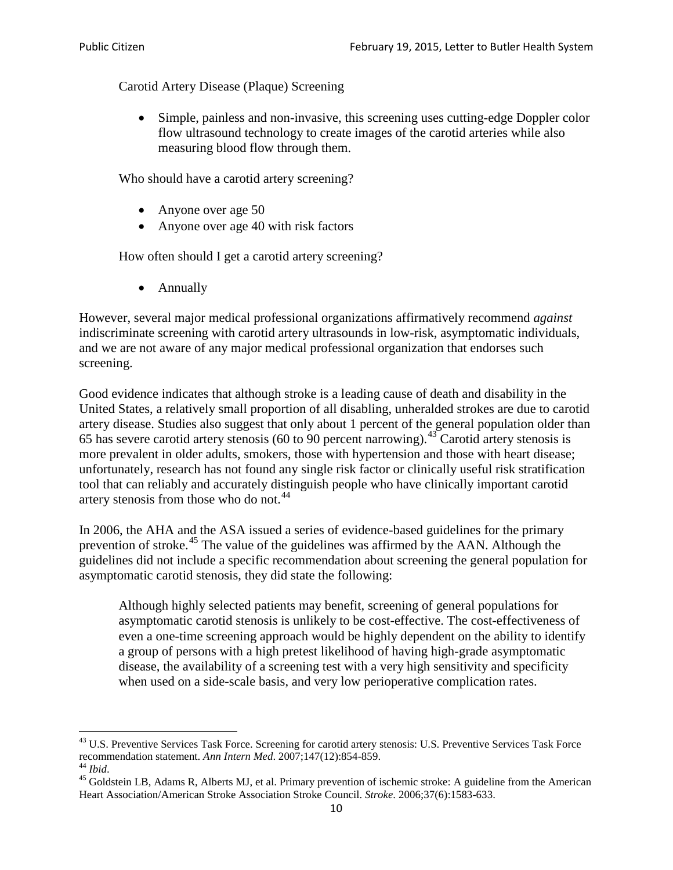Carotid Artery Disease (Plaque) Screening

• Simple, painless and non-invasive, this screening uses cutting-edge Doppler color flow ultrasound technology to create images of the carotid arteries while also measuring blood flow through them.

Who should have a carotid artery screening?

- Anyone over age 50
- Anyone over age 40 with risk factors

How often should I get a carotid artery screening?

• Annually

However, several major medical professional organizations affirmatively recommend *against* indiscriminate screening with carotid artery ultrasounds in low-risk, asymptomatic individuals, and we are not aware of any major medical professional organization that endorses such screening.

Good evidence indicates that although stroke is a leading cause of death and disability in the United States, a relatively small proportion of all disabling, unheralded strokes are due to carotid artery disease. Studies also suggest that only about 1 percent of the general population older than 65 has severe carotid artery stenosis (60 to 90 percent narrowing).<sup>[43](#page-9-0)</sup> Carotid artery stenosis is more prevalent in older adults, smokers, those with hypertension and those with heart disease; unfortunately, research has not found any single risk factor or clinically useful risk stratification tool that can reliably and accurately distinguish people who have clinically important carotid artery stenosis from those who do not.<sup>[44](#page-9-1)</sup>

In 2006, the AHA and the ASA issued a series of evidence-based guidelines for the primary prevention of stroke.<sup>[45](#page-9-2)</sup> The value of the guidelines was affirmed by the AAN. Although the guidelines did not include a specific recommendation about screening the general population for asymptomatic carotid stenosis, they did state the following:

Although highly selected patients may benefit, screening of general populations for asymptomatic carotid stenosis is unlikely to be cost-effective. The cost-effectiveness of even a one-time screening approach would be highly dependent on the ability to identify a group of persons with a high pretest likelihood of having high-grade asymptomatic disease, the availability of a screening test with a very high sensitivity and specificity when used on a side-scale basis, and very low perioperative complication rates.

<span id="page-9-0"></span> $^{43}$  U.S. Preventive Services Task Force. Screening for carotid artery stenosis: U.S. Preventive Services Task Force recommendation statement. Ann Intern Med. 2007;147(12):854-859.

<span id="page-9-2"></span><span id="page-9-1"></span><sup>&</sup>lt;sup>44</sup> *Ibid*. <sup>45</sup> Goldstein LB, Adams R, Alberts MJ, et al. Primary prevention of ischemic stroke: A guideline from the American <sup>45</sup> Goldstein LB, Adams R, Alberts MJ, et al. Primary prevention of ischemic stroke: A guide Heart Association/American Stroke Association Stroke Council. *Stroke*. 2006;37(6):1583-633.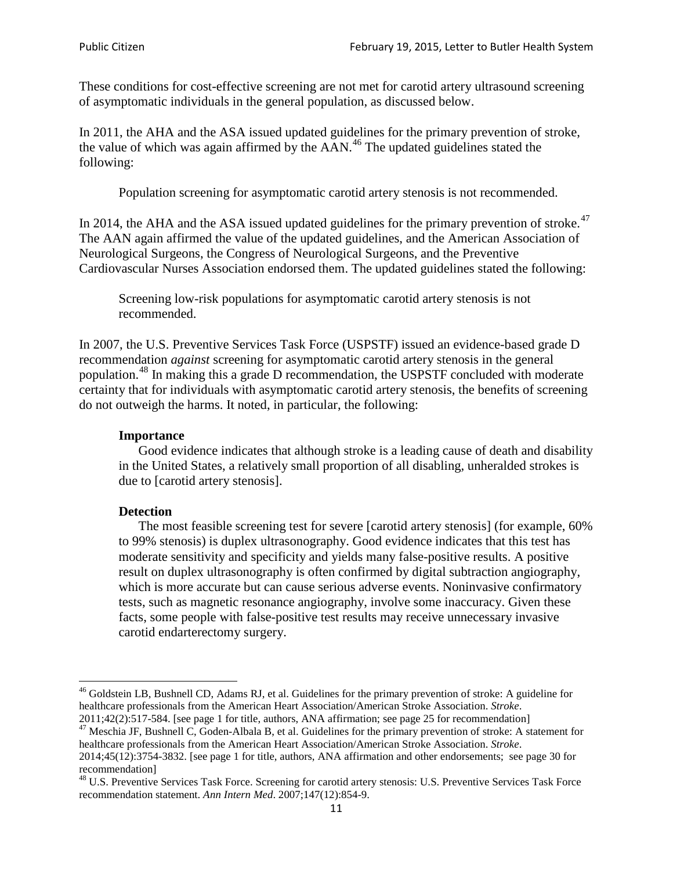These conditions for cost-effective screening are not met for carotid artery ultrasound screening of asymptomatic individuals in the general population, as discussed below.

In 2011, the AHA and the ASA issued updated guidelines for the primary prevention of stroke, the value of which was again affirmed by the  $AAN<sup>46</sup>$  $AAN<sup>46</sup>$  $AAN<sup>46</sup>$ . The updated guidelines stated the following:

Population screening for asymptomatic carotid artery stenosis is not recommended.

In 2014, the AHA and the ASA issued updated guidelines for the primary prevention of stroke.<sup>47</sup> The AAN again affirmed the value of the updated guidelines, and the American Association of Neurological Surgeons, the Congress of Neurological Surgeons, and the Preventive Cardiovascular Nurses Association endorsed them. The updated guidelines stated the following:

Screening low-risk populations for asymptomatic carotid artery stenosis is not recommended.

In 2007, the U.S. Preventive Services Task Force (USPSTF) issued an evidence-based grade D recommendation *against* screening for asymptomatic carotid artery stenosis in the general population.[48](#page-10-2) In making this a grade D recommendation, the USPSTF concluded with moderate certainty that for individuals with asymptomatic carotid artery stenosis, the benefits of screening do not outweigh the harms. It noted, in particular, the following:

#### **Importance**

Good evidence indicates that although stroke is a leading cause of death and disability in the United States, a relatively small proportion of all disabling, unheralded strokes is due to [carotid artery stenosis].

#### **Detection**

The most feasible screening test for severe [carotid artery stenosis] (for example, 60% to 99% stenosis) is duplex ultrasonography. Good evidence indicates that this test has moderate sensitivity and specificity and yields many false-positive results. A positive result on duplex ultrasonography is often confirmed by digital subtraction angiography, which is more accurate but can cause serious adverse events. Noninvasive confirmatory tests, such as magnetic resonance angiography, involve some inaccuracy. Given these facts, some people with false-positive test results may receive unnecessary invasive carotid endarterectomy surgery.

<span id="page-10-0"></span><sup>&</sup>lt;sup>46</sup> Goldstein LB, Bushnell CD, Adams RJ, et al. Guidelines for the primary prevention of stroke: A guideline for healthcare professionals from the American Heart Association/American Stroke Association. *Stroke*.<br>2011;42(2):517-584. [see page 1 for title, authors, ANA affirmation; see page 25 for recommendation]

<span id="page-10-1"></span><sup>&</sup>lt;sup>47</sup> Meschia JF, Bushnell C, Goden-Albala B, et al. Guidelines for the primary prevention of stroke: A statement for healthcare professionals from the American Heart Association/American Stroke Association. *Stroke*. 2014;45(12):3754-3832. [see page 1 for title, authors, ANA affirmation and other endorsements; see page 30 for

recommendation] <sup>48</sup> U.S. Preventive Services Task Force. Screening for carotid artery stenosis: U.S. Preventive Services Task Force

<span id="page-10-2"></span>recommendation statement. *Ann Intern Med*. 2007;147(12):854-9.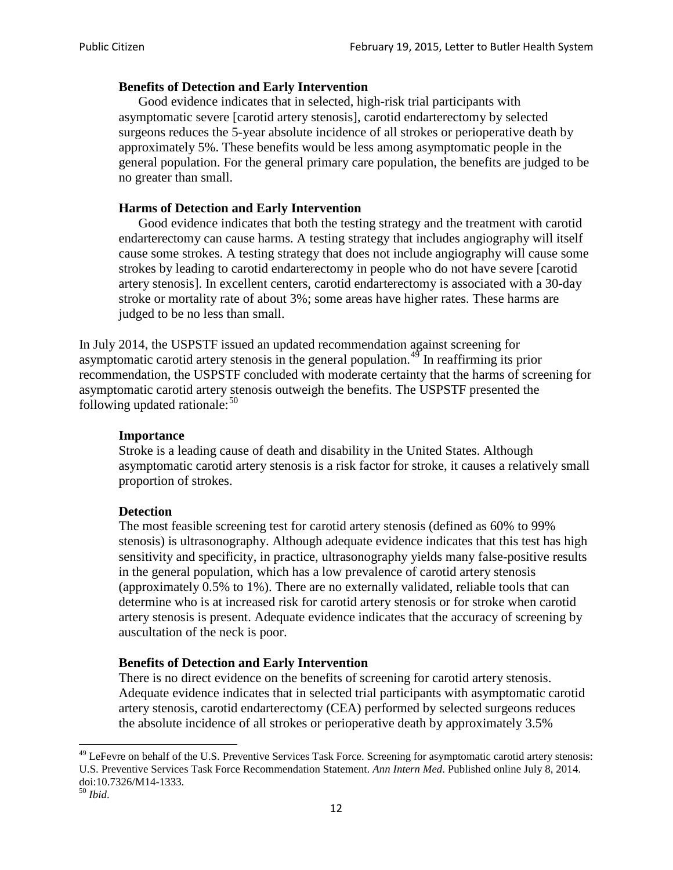### **Benefits of Detection and Early Intervention**

Good evidence indicates that in selected, high-risk trial participants with asymptomatic severe [carotid artery stenosis], carotid endarterectomy by selected surgeons reduces the 5-year absolute incidence of all strokes or perioperative death by approximately 5%. These benefits would be less among asymptomatic people in the general population. For the general primary care population, the benefits are judged to be no greater than small.

### **Harms of Detection and Early Intervention**

Good evidence indicates that both the testing strategy and the treatment with carotid endarterectomy can cause harms. A testing strategy that includes angiography will itself cause some strokes. A testing strategy that does not include angiography will cause some strokes by leading to carotid endarterectomy in people who do not have severe [carotid artery stenosis]. In excellent centers, carotid endarterectomy is associated with a 30-day stroke or mortality rate of about 3%; some areas have higher rates. These harms are judged to be no less than small.

In July 2014, the USPSTF issued an updated recommendation against screening for asymptomatic carotid artery stenosis in the general population.<sup>[49](#page-11-0)</sup> In reaffirming its prior recommendation, the USPSTF concluded with moderate certainty that the harms of screening for asymptomatic carotid artery stenosis outweigh the benefits. The USPSTF presented the following updated rationale: $50$ 

### **Importance**

Stroke is a leading cause of death and disability in the United States. Although asymptomatic carotid artery stenosis is a risk factor for stroke, it causes a relatively small proportion of strokes.

#### **Detection**

The most feasible screening test for carotid artery stenosis (defined as 60% to 99% stenosis) is ultrasonography. Although adequate evidence indicates that this test has high sensitivity and specificity, in practice, ultrasonography yields many false-positive results in the general population, which has a low prevalence of carotid artery stenosis (approximately 0.5% to 1%). There are no externally validated, reliable tools that can determine who is at increased risk for carotid artery stenosis or for stroke when carotid artery stenosis is present. Adequate evidence indicates that the accuracy of screening by auscultation of the neck is poor.

#### **Benefits of Detection and Early Intervention**

There is no direct evidence on the benefits of screening for carotid artery stenosis. Adequate evidence indicates that in selected trial participants with asymptomatic carotid artery stenosis, carotid endarterectomy (CEA) performed by selected surgeons reduces the absolute incidence of all strokes or perioperative death by approximately 3.5%

<span id="page-11-0"></span><sup>&</sup>lt;sup>49</sup> LeFevre on behalf of the U.S. Preventive Services Task Force. Screening for asymptomatic carotid artery stenosis: U.S. Preventive Services Task Force Recommendation Statement. *Ann Intern Med*. Published online July 8, 2014. doi:10.7326/M14-1333. <sup>50</sup> *Ibid*.

<span id="page-11-1"></span>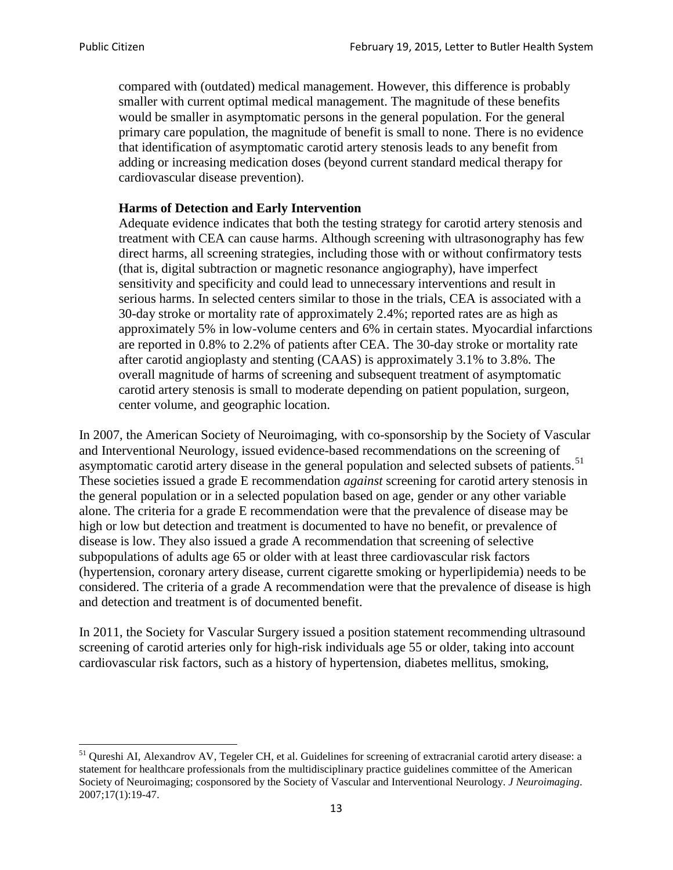compared with (outdated) medical management. However, this difference is probably smaller with current optimal medical management. The magnitude of these benefits would be smaller in asymptomatic persons in the general population. For the general primary care population, the magnitude of benefit is small to none. There is no evidence that identification of asymptomatic carotid artery stenosis leads to any benefit from adding or increasing medication doses (beyond current standard medical therapy for cardiovascular disease prevention).

### **Harms of Detection and Early Intervention**

Adequate evidence indicates that both the testing strategy for carotid artery stenosis and treatment with CEA can cause harms. Although screening with ultrasonography has few direct harms, all screening strategies, including those with or without confirmatory tests (that is, digital subtraction or magnetic resonance angiography), have imperfect sensitivity and specificity and could lead to unnecessary interventions and result in serious harms. In selected centers similar to those in the trials, CEA is associated with a 30-day stroke or mortality rate of approximately 2.4%; reported rates are as high as approximately 5% in low-volume centers and 6% in certain states. Myocardial infarctions are reported in 0.8% to 2.2% of patients after CEA. The 30-day stroke or mortality rate after carotid angioplasty and stenting (CAAS) is approximately 3.1% to 3.8%. The overall magnitude of harms of screening and subsequent treatment of asymptomatic carotid artery stenosis is small to moderate depending on patient population, surgeon, center volume, and geographic location.

In 2007, the American Society of Neuroimaging, with co-sponsorship by the Society of Vascular and Interventional Neurology, issued evidence-based recommendations on the screening of asymptomatic carotid artery disease in the general population and selected subsets of patients.<sup>[51](#page-12-0)</sup> These societies issued a grade E recommendation *against* screening for carotid artery stenosis in the general population or in a selected population based on age, gender or any other variable alone. The criteria for a grade E recommendation were that the prevalence of disease may be high or low but detection and treatment is documented to have no benefit, or prevalence of disease is low. They also issued a grade A recommendation that screening of selective subpopulations of adults age 65 or older with at least three cardiovascular risk factors (hypertension, coronary artery disease, current cigarette smoking or hyperlipidemia) needs to be considered. The criteria of a grade A recommendation were that the prevalence of disease is high and detection and treatment is of documented benefit.

In 2011, the Society for Vascular Surgery issued a position statement recommending ultrasound screening of carotid arteries only for high-risk individuals age 55 or older, taking into account cardiovascular risk factors, such as a history of hypertension, diabetes mellitus, smoking,

<span id="page-12-0"></span><sup>&</sup>lt;sup>51</sup> Qureshi AI, Alexandrov AV, Tegeler CH, et al. Guidelines for screening of extracranial carotid artery disease: a statement for healthcare professionals from the multidisciplinary practice guidelines committee of the American Society of Neuroimaging; cosponsored by the Society of Vascular and Interventional Neurology. *J Neuroimaging*. 2007;17(1):19-47.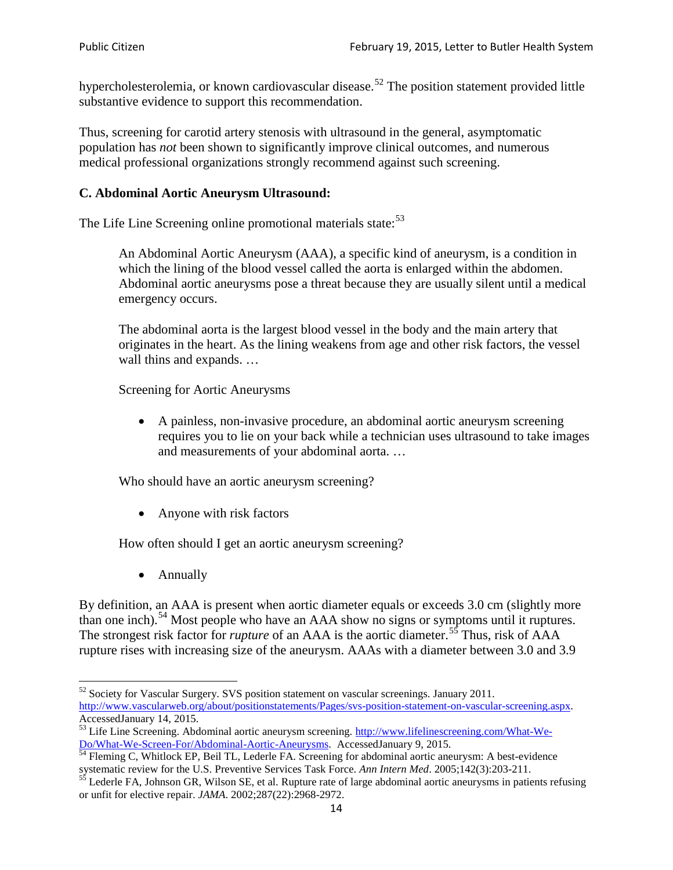hypercholesterolemia, or known cardiovascular disease.<sup>[52](#page-13-0)</sup> The position statement provided little substantive evidence to support this recommendation.

Thus, screening for carotid artery stenosis with ultrasound in the general, asymptomatic population has *not* been shown to significantly improve clinical outcomes, and numerous medical professional organizations strongly recommend against such screening.

### **C. Abdominal Aortic Aneurysm Ultrasound:**

The Life Line Screening online promotional materials state:<sup>[53](#page-13-1)</sup>

An Abdominal Aortic Aneurysm (AAA), a specific kind of aneurysm, is a condition in which the lining of the blood vessel called the aorta is enlarged within the abdomen. Abdominal aortic aneurysms pose a threat because they are usually silent until a medical emergency occurs.

The abdominal aorta is the largest blood vessel in the body and the main artery that originates in the heart. As the lining weakens from age and other risk factors, the vessel wall thins and expands. …

Screening for Aortic Aneurysms

• A painless, non-invasive procedure, an abdominal aortic aneurysm screening requires you to lie on your back while a technician uses ultrasound to take images and measurements of your abdominal aorta. …

Who should have an aortic aneurysm screening?

• Anyone with risk factors

How often should I get an aortic aneurysm screening?

• Annually

By definition, an AAA is present when aortic diameter equals or exceeds 3.0 cm (slightly more than one inch).<sup>[54](#page-13-2)</sup> Most people who have an AAA show no signs or symptoms until it ruptures. The strongest risk factor for *rupture* of an AAA is the aortic diameter.<sup>[55](#page-13-3)</sup> Thus, risk of AAA rupture rises with increasing size of the aneurysm. AAAs with a diameter between 3.0 and 3.9

<span id="page-13-0"></span> $52$  Society for Vascular Surgery. SVS position statement on vascular screenings. January 2011. http://www.vascularweb.org/about/positionstatements/Pages/svs-position-statement-on-vascular-screening.aspx.<br>Accessed January 14, 2015.

<span id="page-13-1"></span>Accessed Line Screening. Abdominal aortic aneurysm screening. http://www.lifelinescreening.com/What-We-<br>Do/What-We-Screen-For/Abdominal-Aortic-Aneurysms. Accessed January 9, 2015.

<span id="page-13-2"></span> $\frac{1}{54}$  Fleming C, Whitlock EP, Beil TL, Lederle FA. Screening for abdominal aortic aneurysm: A best-evidence systematic review for the U.S. Preventive Services Task Force. *Ann Intern Med.* 2005;142(3):203-211.<br><sup>55</sup> Lederle FA, Johnson GR, Wilson SE, et al. Rupture rate of large abdominal aortic aneurysms in patients refusing

<span id="page-13-3"></span>or unfit for elective repair. *JAMA*. 2002;287(22):2968-2972.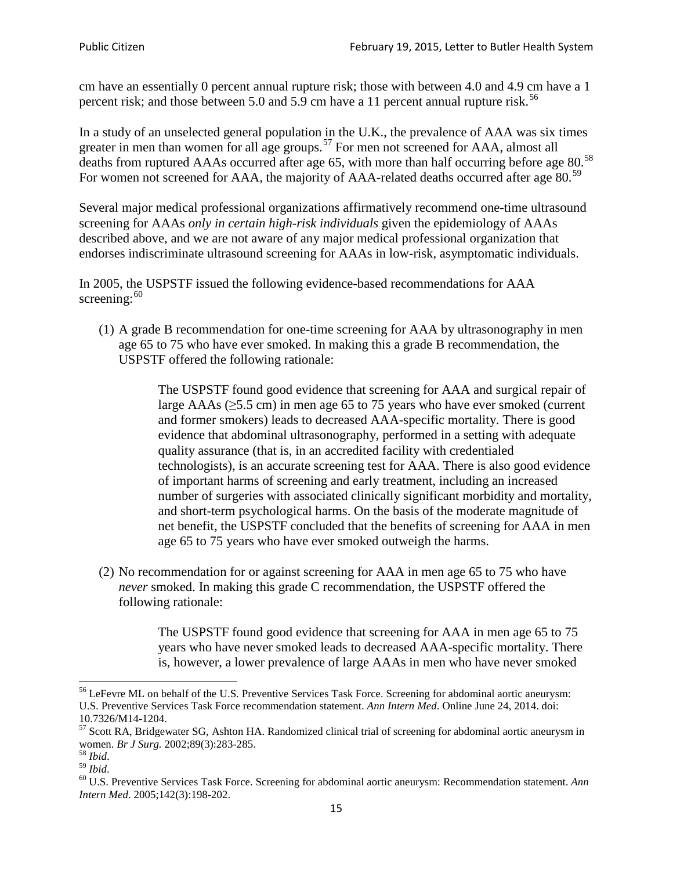cm have an essentially 0 percent annual rupture risk; those with between 4.0 and 4.9 cm have a 1 percent risk; and those between 5.0 and 5.9 cm have a 11 percent annual rupture risk.<sup>[56](#page-14-0)</sup>

In a study of an unselected general population in the U.K., the prevalence of AAA was six times greater in men than women for all age groups.<sup>[57](#page-14-1)</sup> For men not screened for  $AAA$ , almost all deaths from ruptured AAAs occurred after age 65, with more than half occurring before age 80.<sup>[58](#page-14-2)</sup> For women not screened for AAA, the majority of AAA-related deaths occurred after age 80.<sup>[59](#page-14-3)</sup>

Several major medical professional organizations affirmatively recommend one-time ultrasound screening for AAAs *only in certain high-risk individuals* given the epidemiology of AAAs described above, and we are not aware of any major medical professional organization that endorses indiscriminate ultrasound screening for AAAs in low-risk, asymptomatic individuals.

In 2005, the USPSTF issued the following evidence-based recommendations for AAA screening:  $60$ 

(1) A grade B recommendation for one-time screening for AAA by ultrasonography in men age 65 to 75 who have ever smoked. In making this a grade [B recommendation,](http://www.uspreventiveservicestaskforce.org/uspstf/gradespre.htm#brec) the USPSTF offered the following rationale:

> The USPSTF found good evidence that screening for AAA and surgical repair of large AAAs ( $\geq$ 5.5 cm) in men age 65 to 75 years who have ever smoked (current and former smokers) leads to decreased AAA-specific mortality. There is good evidence that abdominal ultrasonography, performed in a setting with adequate quality assurance (that is, in an accredited facility with credentialed technologists), is an accurate screening test for AAA. There is also good evidence of important harms of screening and early treatment, including an increased number of surgeries with associated clinically significant morbidity and mortality, and short-term psychological harms. On the basis of the moderate magnitude of net benefit, the USPSTF concluded that the benefits of screening for AAA in men age 65 to 75 years who have ever smoked outweigh the harms.

(2) No recommendation for or against screening for AAA in men age 65 to 75 who have *never* smoked. In making this grade C recommendation, the USPSTF offered the following rationale:

> The USPSTF found good evidence that screening for AAA in men age 65 to 75 years who have never smoked leads to decreased AAA-specific mortality. There is, however, a lower prevalence of large AAAs in men who have never smoked

<span id="page-14-0"></span><sup>&</sup>lt;sup>56</sup> LeFevre ML on behalf of the U.S. Preventive Services Task Force. Screening for abdominal aortic aneurysm: U.S. Preventive Services Task Force recommendation statement. *Ann Intern Med*. Online June 24, 2014. doi:

<span id="page-14-1"></span><sup>10.7326/</sup>M14-1204.<br> $57$  Scott RA, Bridgewater SG, Ashton HA. Randomized clinical trial of screening for abdominal aortic aneurysm in women. *Br J Surg.* 2002;89(3):283-285.

<span id="page-14-4"></span><span id="page-14-3"></span>

<span id="page-14-2"></span><sup>&</sup>lt;sup>58</sup> *Ibid.*<br><sup>59</sup> *Ibid.* 2002;<br><sup>60</sup> U.S. Preventive Services Task Force. Screening for abdominal aortic aneurysm: Recommendation statement. *Ann Intern Med*. 2005;142(3):198-202.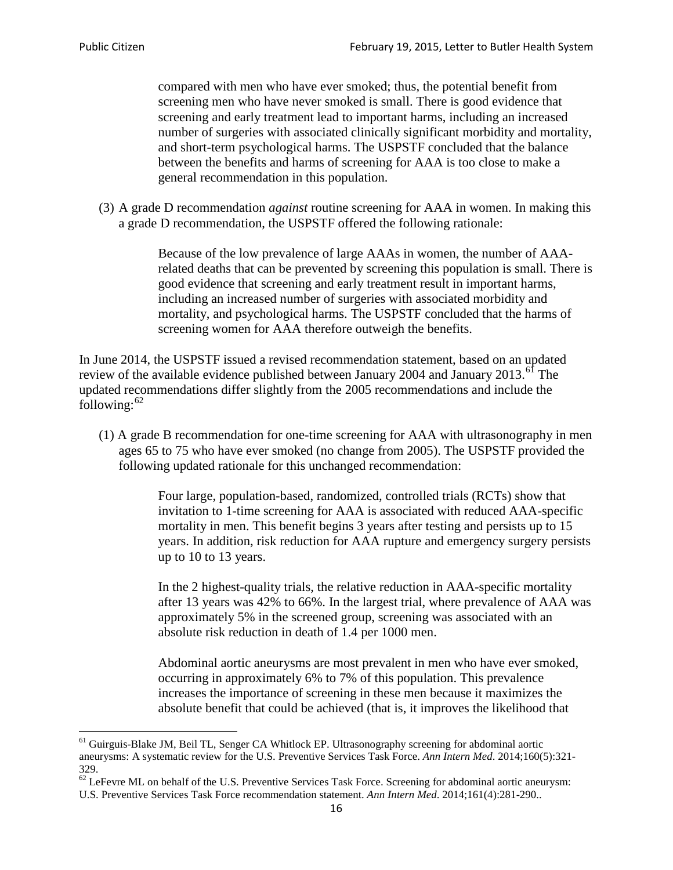compared with men who have ever smoked; thus, the potential benefit from screening men who have never smoked is small. There is good evidence that screening and early treatment lead to important harms, including an increased number of surgeries with associated clinically significant morbidity and mortality, and short-term psychological harms. The USPSTF concluded that the balance between the benefits and harms of screening for AAA is too close to make a general recommendation in this population.

(3) A grade D recommendation *against* routine screening for AAA in women. In making this a grade D recommendation, the USPSTF offered the following rationale:

> Because of the low prevalence of large AAAs in women, the number of AAArelated deaths that can be prevented by screening this population is small. There is good evidence that screening and early treatment result in important harms, including an increased number of surgeries with associated morbidity and mortality, and psychological harms. The USPSTF concluded that the harms of screening women for AAA therefore outweigh the benefits.

In June 2014, the USPSTF issued a revised recommendation statement, based on an updated review of the available evidence published between January 2004 and January 2013.<sup>[61](#page-15-0)</sup> The updated recommendations differ slightly from the 2005 recommendations and include the following: $62$ 

(1) A grade B recommendation for one-time screening for AAA with ultrasonography in men ages 65 to 75 who have ever smoked (no change from 2005). The USPSTF provided the following updated rationale for this unchanged recommendation:

> Four large, population-based, randomized, controlled trials (RCTs) show that invitation to 1-time screening for AAA is associated with reduced AAA-specific mortality in men. This benefit begins 3 years after testing and persists up to 15 years. In addition, risk reduction for AAA rupture and emergency surgery persists up to 10 to 13 years.

> In the 2 highest-quality trials, the relative reduction in AAA-specific mortality after 13 years was 42% to 66%. In the largest trial, where prevalence of AAA was approximately 5% in the screened group, screening was associated with an absolute risk reduction in death of 1.4 per 1000 men.

Abdominal aortic aneurysms are most prevalent in men who have ever smoked, occurring in approximately 6% to 7% of this population. This prevalence increases the importance of screening in these men because it maximizes the absolute benefit that could be achieved (that is, it improves the likelihood that

<span id="page-15-0"></span><sup>61</sup> Guirguis-Blake JM, Beil TL, Senger CA Whitlock EP. Ultrasonography screening for abdominal aortic aneurysms: A systematic review for the U.S. Preventive Services Task Force. *Ann Intern Med*. 2014;160(5):321- 329.

<span id="page-15-1"></span> $62$  LeFevre ML on behalf of the U.S. Preventive Services Task Force. Screening for abdominal aortic aneurysm: U.S. Preventive Services Task Force recommendation statement. *Ann Intern Med*. 2014;161(4):281-290..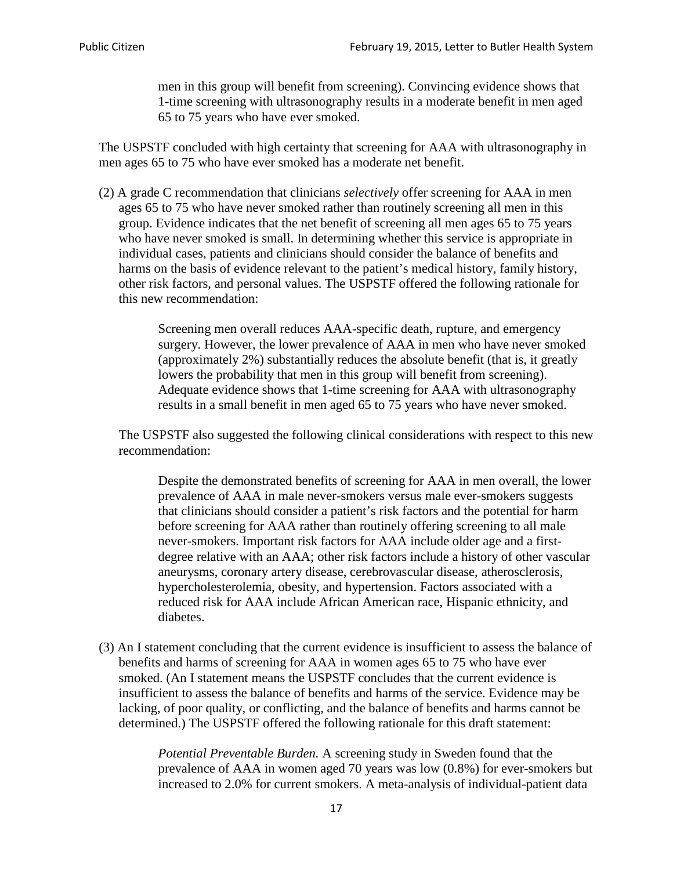men in this group will benefit from screening). Convincing evidence shows that 1-time screening with ultrasonography results in a moderate benefit in men aged 65 to 75 years who have ever smoked.

The USPSTF concluded with high certainty that screening for AAA with ultrasonography in men ages 65 to 75 who have ever smoked has a moderate net benefit.

(2) A grade C recommendation that clinicians *selectively* offer screening for AAA in men ages 65 to 75 who have never smoked rather than routinely screening all men in this group. Evidence indicates that the net benefit of screening all men ages 65 to 75 years who have never smoked is small. In determining whether this service is appropriate in individual cases, patients and clinicians should consider the balance of benefits and harms on the basis of evidence relevant to the patient's medical history, family history, other risk factors, and personal values. The USPSTF offered the following rationale for this new recommendation:

> Screening men overall reduces AAA-specific death, rupture, and emergency surgery. However, the lower prevalence of AAA in men who have never smoked (approximately 2%) substantially reduces the absolute benefit (that is, it greatly lowers the probability that men in this group will benefit from screening). Adequate evidence shows that 1-time screening for AAA with ultrasonography results in a small benefit in men aged 65 to 75 years who have never smoked.

The USPSTF also suggested the following clinical considerations with respect to this new recommendation:

Despite the demonstrated benefits of screening for AAA in men overall, the lower prevalence of AAA in male never-smokers versus male ever-smokers suggests that clinicians should consider a patient's risk factors and the potential for harm before screening for AAA rather than routinely offering screening to all male never-smokers. Important risk factors for AAA include older age and a firstdegree relative with an AAA; other risk factors include a history of other vascular aneurysms, coronary artery disease, cerebrovascular disease, atherosclerosis, hypercholesterolemia, obesity, and hypertension. Factors associated with a reduced risk for AAA include African American race, Hispanic ethnicity, and diabetes.

(3) An I statement concluding that the current evidence is insufficient to assess the balance of benefits and harms of screening for AAA in women ages 65 to 75 who have ever smoked. (An I statement means the USPSTF concludes that the current evidence is insufficient to assess the balance of benefits and harms of the service. Evidence may be lacking, of poor quality, or conflicting, and the balance of benefits and harms cannot be determined.) The USPSTF offered the following rationale for this draft statement:

> *Potential Preventable Burden.* A screening study in Sweden found that the prevalence of AAA in women aged 70 years was low (0.8%) for ever-smokers but increased to 2.0% for current smokers. A meta-analysis of individual-patient data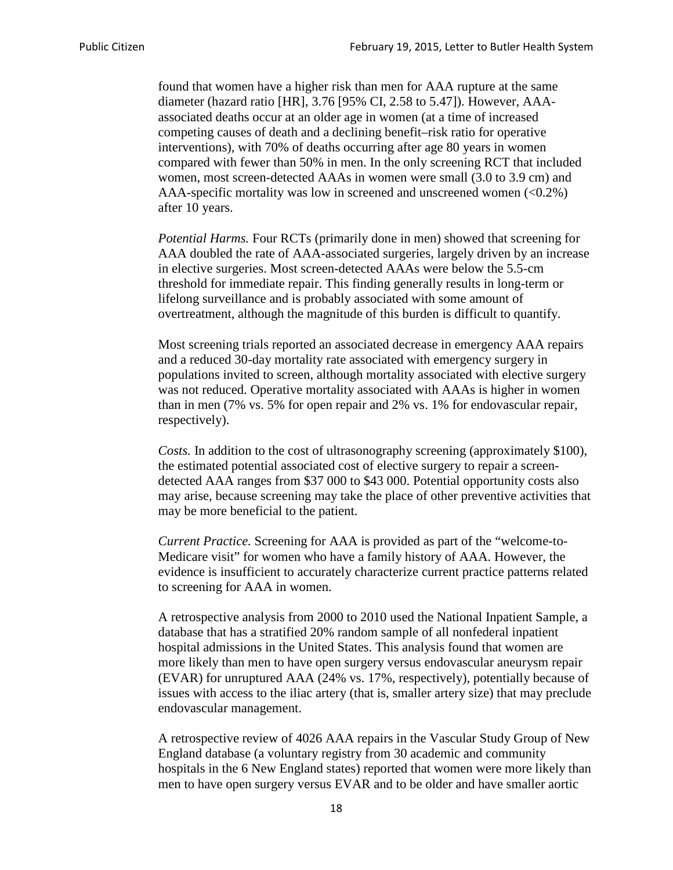found that women have a higher risk than men for AAA rupture at the same diameter (hazard ratio [HR], 3.76 [95% CI, 2.58 to 5.47]). However, AAAassociated deaths occur at an older age in women (at a time of increased competing causes of death and a declining benefit–risk ratio for operative interventions), with 70% of deaths occurring after age 80 years in women compared with fewer than 50% in men. In the only screening RCT that included women, most screen-detected AAAs in women were small (3.0 to 3.9 cm) and AAA-specific mortality was low in screened and unscreened women  $(<0.2\%)$ after 10 years.

*Potential Harms.* Four RCTs (primarily done in men) showed that screening for AAA doubled the rate of AAA-associated surgeries, largely driven by an increase in elective surgeries. Most screen-detected AAAs were below the 5.5-cm threshold for immediate repair. This finding generally results in long-term or lifelong surveillance and is probably associated with some amount of overtreatment, although the magnitude of this burden is difficult to quantify.

Most screening trials reported an associated decrease in emergency AAA repairs and a reduced 30-day mortality rate associated with emergency surgery in populations invited to screen, although mortality associated with elective surgery was not reduced. Operative mortality associated with AAAs is higher in women than in men (7% vs. 5% for open repair and 2% vs. 1% for endovascular repair, respectively).

*Costs.* In addition to the cost of ultrasonography screening (approximately \$100), the estimated potential associated cost of elective surgery to repair a screendetected AAA ranges from \$37 000 to \$43 000. Potential opportunity costs also may arise, because screening may take the place of other preventive activities that may be more beneficial to the patient.

*Current Practice.* Screening for AAA is provided as part of the "welcome-to-Medicare visit" for women who have a family history of AAA. However, the evidence is insufficient to accurately characterize current practice patterns related to screening for AAA in women.

A retrospective analysis from 2000 to 2010 used the National Inpatient Sample, a database that has a stratified 20% random sample of all nonfederal inpatient hospital admissions in the United States. This analysis found that women are more likely than men to have open surgery versus endovascular aneurysm repair (EVAR) for unruptured AAA (24% vs. 17%, respectively), potentially because of issues with access to the iliac artery (that is, smaller artery size) that may preclude endovascular management.

A retrospective review of 4026 AAA repairs in the Vascular Study Group of New England database (a voluntary registry from 30 academic and community hospitals in the 6 New England states) reported that women were more likely than men to have open surgery versus EVAR and to be older and have smaller aortic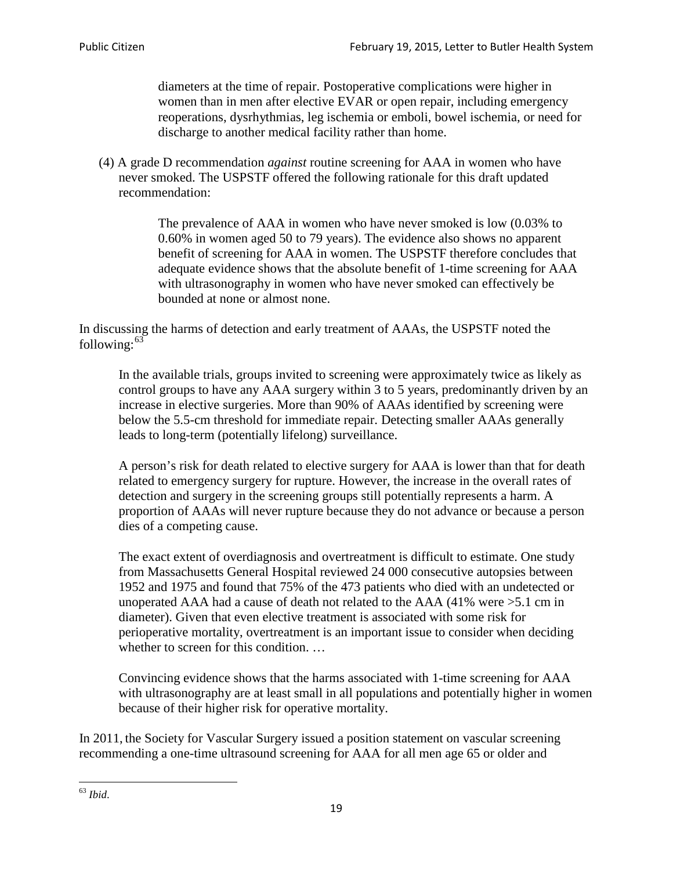diameters at the time of repair. Postoperative complications were higher in women than in men after elective EVAR or open repair, including emergency reoperations, dysrhythmias, leg ischemia or emboli, bowel ischemia, or need for discharge to another medical facility rather than home.

(4) A grade D recommendation *against* routine screening for AAA in women who have never smoked. The USPSTF offered the following rationale for this draft updated recommendation:

> The prevalence of AAA in women who have never smoked is low (0.03% to 0.60% in women aged 50 to 79 years). The evidence also shows no apparent benefit of screening for AAA in women. The USPSTF therefore concludes that adequate evidence shows that the absolute benefit of 1-time screening for AAA with ultrasonography in women who have never smoked can effectively be bounded at none or almost none.

In discussing the harms of detection and early treatment of AAAs, the USPSTF noted the following: $63$ 

In the available trials, groups invited to screening were approximately twice as likely as control groups to have any AAA surgery within 3 to 5 years, predominantly driven by an increase in elective surgeries. More than 90% of AAAs identified by screening were below the 5.5-cm threshold for immediate repair. Detecting smaller AAAs generally leads to long-term (potentially lifelong) surveillance.

A person's risk for death related to elective surgery for AAA is lower than that for death related to emergency surgery for rupture. However, the increase in the overall rates of detection and surgery in the screening groups still potentially represents a harm. A proportion of AAAs will never rupture because they do not advance or because a person dies of a competing cause.

The exact extent of overdiagnosis and overtreatment is difficult to estimate. One study from Massachusetts General Hospital reviewed 24 000 consecutive autopsies between 1952 and 1975 and found that 75% of the 473 patients who died with an undetected or unoperated AAA had a cause of death not related to the AAA (41% were >5.1 cm in diameter). Given that even elective treatment is associated with some risk for perioperative mortality, overtreatment is an important issue to consider when deciding whether to screen for this condition....

Convincing evidence shows that the harms associated with 1-time screening for AAA with ultrasonography are at least small in all populations and potentially higher in women because of their higher risk for operative mortality.

In 2011, the Society for Vascular Surgery issued a position statement on vascular screening recommending a one-time ultrasound screening for AAA for all men age 65 or older and

<span id="page-18-0"></span><sup>63</sup> *Ibid*.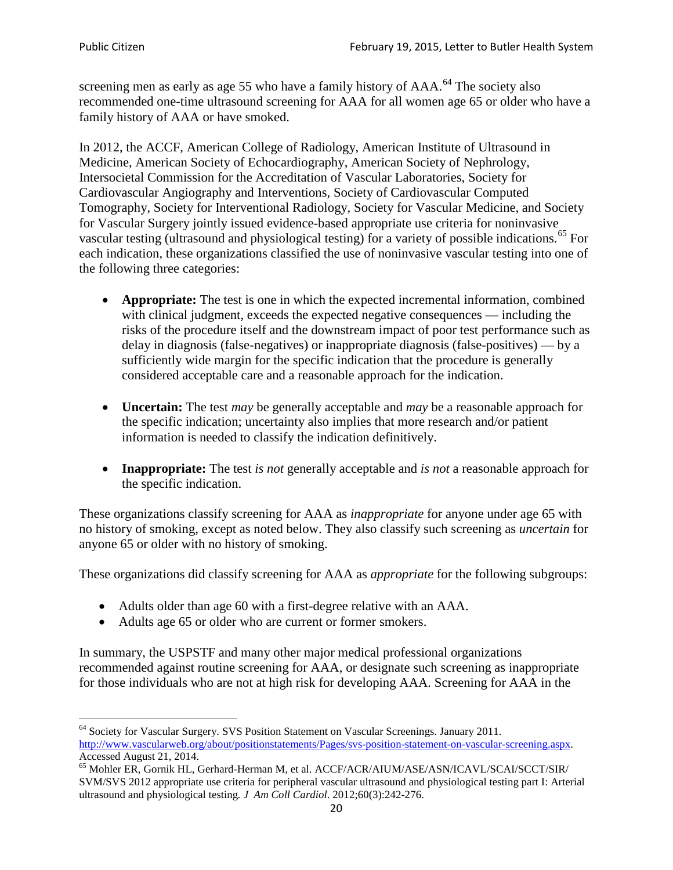screening men as early as age 55 who have a family history of AAA.<sup>[64](#page-19-0)</sup> The society also recommended one-time ultrasound screening for AAA for all women age 65 or older who have a family history of AAA or have smoked.

In 2012, the ACCF, American College of Radiology, American Institute of Ultrasound in Medicine, American Society of Echocardiography, American Society of Nephrology, Intersocietal Commission for the Accreditation of Vascular Laboratories, Society for Cardiovascular Angiography and Interventions, Society of Cardiovascular Computed Tomography, Society for Interventional Radiology, Society for Vascular Medicine, and Society for Vascular Surgery jointly issued evidence-based appropriate use criteria for noninvasive vascular testing (ultrasound and physiological testing) for a variety of possible indications.<sup>[65](#page-19-1)</sup> For each indication, these organizations classified the use of noninvasive vascular testing into one of the following three categories:

- **Appropriate:** The test is one in which the expected incremental information, combined with clinical judgment, exceeds the expected negative consequences — including the risks of the procedure itself and the downstream impact of poor test performance such as delay in diagnosis (false-negatives) or inappropriate diagnosis (false-positives) — by a sufficiently wide margin for the specific indication that the procedure is generally considered acceptable care and a reasonable approach for the indication.
- **Uncertain:** The test *may* be generally acceptable and *may* be a reasonable approach for the specific indication; uncertainty also implies that more research and/or patient information is needed to classify the indication definitively.
- **Inappropriate:** The test *is not* generally acceptable and *is not* a reasonable approach for the specific indication.

These organizations classify screening for AAA as *inappropriate* for anyone under age 65 with no history of smoking, except as noted below. They also classify such screening as *uncertain* for anyone 65 or older with no history of smoking.

These organizations did classify screening for AAA as *appropriate* for the following subgroups:

- Adults older than age 60 with a first-degree relative with an AAA.
- Adults age 65 or older who are current or former smokers.

In summary, the USPSTF and many other major medical professional organizations recommended against routine screening for AAA, or designate such screening as inappropriate for those individuals who are not at high risk for developing AAA. Screening for AAA in the

<span id="page-19-0"></span><sup>64</sup> Society for Vascular Surgery. SVS Position Statement on Vascular Screenings. January 2011. [http://www.vascularweb.org/about/positionstatements/Pages/svs-position-statement-on-vascular-screening.aspx.](http://www.vascularweb.org/about/positionstatements/Pages/svs-position-statement-on-vascular-screening.aspx) 

<span id="page-19-1"></span>Accessed August 21, 2014.<br><sup>65</sup> Mohler ER, Gornik HL, Gerhard-Herman M, et al. ACCF/ACR/AIUM/ASE/ASN/ICAVL/SCAI/SCCT/SIR/ SVM/SVS 2012 appropriate use criteria for peripheral vascular ultrasound and physiological testing part I: Arterial ultrasound and physiological testing*. J Am Coll Cardiol*. 2012;60(3):242-276.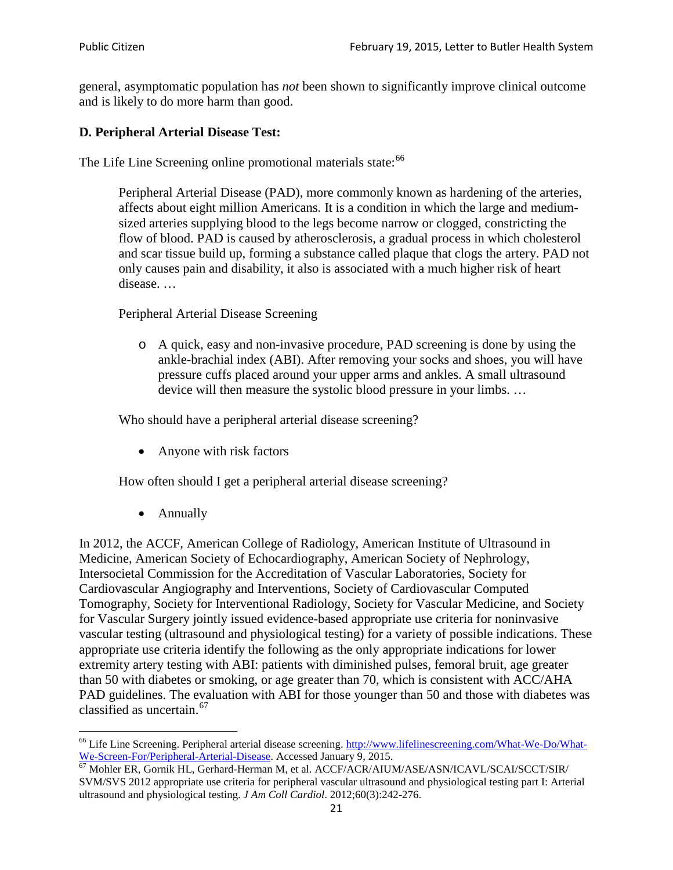general, asymptomatic population has *not* been shown to significantly improve clinical outcome and is likely to do more harm than good.

## **D. Peripheral Arterial Disease Test:**

The Life Line Screening online promotional materials state:<sup>[66](#page-20-0)</sup>

Peripheral Arterial Disease (PAD), more commonly known as hardening of the arteries, affects about eight million Americans. It is a condition in which the large and mediumsized arteries supplying blood to the legs become narrow or clogged, constricting the flow of blood. PAD is caused by atherosclerosis, a gradual process in which cholesterol and scar tissue build up, forming a substance called plaque that clogs the artery. PAD not only causes pain and disability, it also is associated with a much higher risk of heart disease. …

Peripheral Arterial Disease Screening

o A quick, easy and non-invasive procedure, PAD screening is done by using the ankle-brachial index (ABI). After removing your socks and shoes, you will have pressure cuffs placed around your upper arms and ankles. A small ultrasound device will then measure the systolic blood pressure in your limbs. …

Who should have a peripheral arterial disease screening?

• Anyone with risk factors

How often should I get a peripheral arterial disease screening?

• Annually

In 2012, the ACCF, American College of Radiology, American Institute of Ultrasound in Medicine, American Society of Echocardiography, American Society of Nephrology, Intersocietal Commission for the Accreditation of Vascular Laboratories, Society for Cardiovascular Angiography and Interventions, Society of Cardiovascular Computed Tomography, Society for Interventional Radiology, Society for Vascular Medicine, and Society for Vascular Surgery jointly issued evidence-based appropriate use criteria for noninvasive vascular testing (ultrasound and physiological testing) for a variety of possible indications. These appropriate use criteria identify the following as the only appropriate indications for lower extremity artery testing with ABI: patients with diminished pulses, femoral bruit, age greater than 50 with diabetes or smoking, or age greater than 70, which is consistent with ACC/AHA PAD guidelines. The evaluation with ABI for those younger than 50 and those with diabetes was classified as uncertain.<sup>[67](#page-20-1)</sup>

<span id="page-20-0"></span><sup>&</sup>lt;sup>66</sup> Life Line Screening. Peripheral arterial disease screening. [http://www.lifelinescreening.com/What-We-Do/What-](http://www.lifelinescreening.com/What-We-Do/What-We-Screen-For/Peripheral-Arterial-Disease)[We-Screen-For/Peripheral-Arterial-Disease.](http://www.lifelinescreening.com/What-We-Do/What-We-Screen-For/Peripheral-Arterial-Disease) Accessed January 9, 2015.<br><sup>67</sup> Mohler ER, Gornik HL, Gerhard-Herman M, et al. ACCF/ACR/AIUM/ASE/ASN/ICAVL/SCAI/SCCT/SIR/

<span id="page-20-1"></span>SVM/SVS 2012 appropriate use criteria for peripheral vascular ultrasound and physiological testing part I: Arterial ultrasound and physiological testing. *J Am Coll Cardiol*. 2012;60(3):242-276.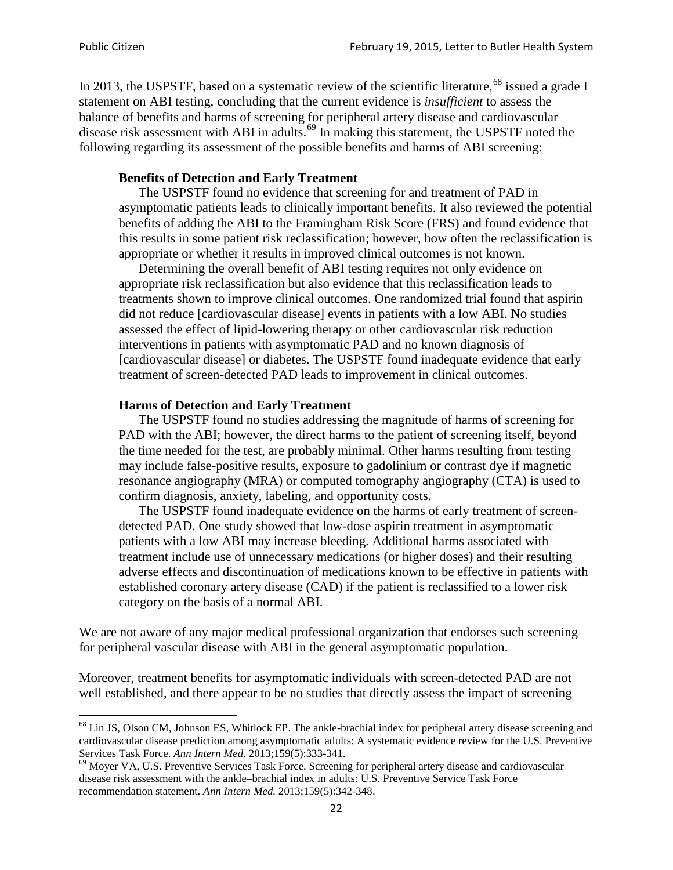In 2013, the USPSTF, based on a systematic review of the scientific literature,<sup>[68](#page-21-0)</sup> issued a grade I statement on ABI testing, concluding that the current evidence is *insufficient* to assess the balance of benefits and harms of screening for peripheral artery disease and cardiovascular disease risk assessment with ABI in adults.<sup>[69](#page-21-1)</sup> In making this statement, the USPSTF noted the following regarding its assessment of the possible benefits and harms of ABI screening:

### **Benefits of Detection and Early Treatment**

The USPSTF found no evidence that screening for and treatment of PAD in asymptomatic patients leads to clinically important benefits. It also reviewed the potential benefits of adding the ABI to the Framingham Risk Score (FRS) and found evidence that this results in some patient risk reclassification; however, how often the reclassification is appropriate or whether it results in improved clinical outcomes is not known.

Determining the overall benefit of ABI testing requires not only evidence on appropriate risk reclassification but also evidence that this reclassification leads to treatments shown to improve clinical outcomes. One randomized trial found that aspirin did not reduce [cardiovascular disease] events in patients with a low ABI. No studies assessed the effect of lipid-lowering therapy or other cardiovascular risk reduction interventions in patients with asymptomatic PAD and no known diagnosis of [cardiovascular disease] or diabetes. The USPSTF found inadequate evidence that early treatment of screen-detected PAD leads to improvement in clinical outcomes.

### **Harms of Detection and Early Treatment**

The USPSTF found no studies addressing the magnitude of harms of screening for PAD with the ABI; however, the direct harms to the patient of screening itself, beyond the time needed for the test, are probably minimal. Other harms resulting from testing may include false-positive results, exposure to gadolinium or contrast dye if magnetic resonance angiography (MRA) or computed tomography angiography (CTA) is used to confirm diagnosis, anxiety, labeling, and opportunity costs.

The USPSTF found inadequate evidence on the harms of early treatment of screendetected PAD. One study showed that low-dose aspirin treatment in asymptomatic patients with a low ABI may increase bleeding. Additional harms associated with treatment include use of unnecessary medications (or higher doses) and their resulting adverse effects and discontinuation of medications known to be effective in patients with established coronary artery disease (CAD) if the patient is reclassified to a lower risk category on the basis of a normal ABI.

We are not aware of any major medical professional organization that endorses such screening for peripheral vascular disease with ABI in the general asymptomatic population.

Moreover, treatment benefits for asymptomatic individuals with screen-detected PAD are not well established, and there appear to be no studies that directly assess the impact of screening

<span id="page-21-0"></span><sup>&</sup>lt;sup>68</sup> Lin JS, Olson CM, Johnson ES, Whitlock EP. The ankle-brachial index for peripheral artery disease screening and cardiovascular disease prediction among asymptomatic adults: A systematic evidence review for the U.S. Preventive Services Task Force. *Ann Intern Med.* 2013;159(5):333-341.<br><sup>69</sup> Moyer VA, U.S. Preventive Services Task Force. Screening for peripheral artery disease and cardiovascular

<span id="page-21-1"></span>disease risk assessment with the ankle–brachial index in adults: U.S. Preventive Service Task Force recommendation statement. *Ann Intern Med.* 2013;159(5):342-348.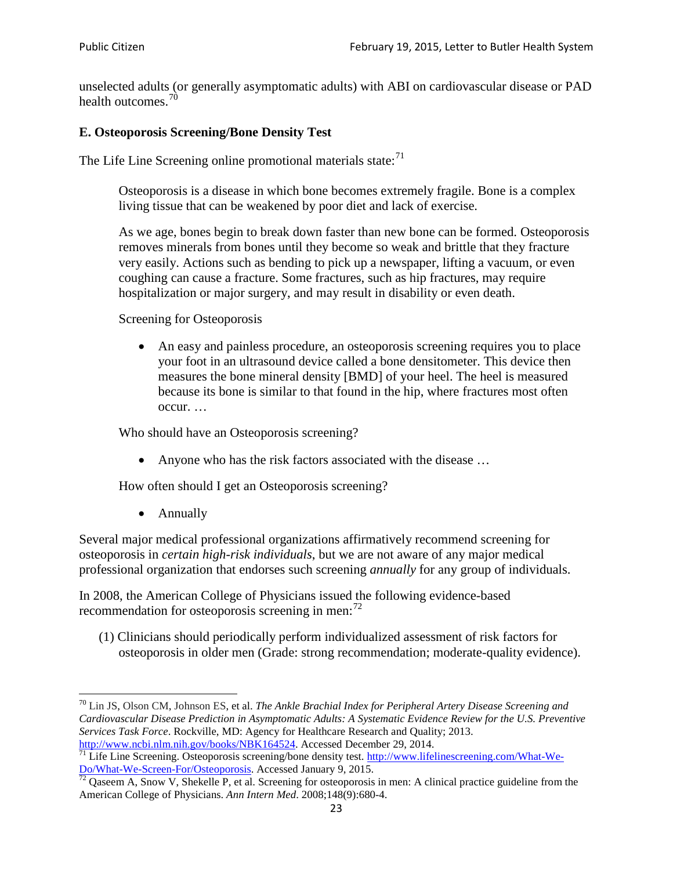unselected adults (or generally asymptomatic adults) with ABI on cardiovascular disease or PAD health outcomes.<sup>[70](#page-22-0)</sup>

## **E. Osteoporosis Screening/Bone Density Test**

The Life Line Screening online promotional materials state: $71$ 

Osteoporosis is a disease in which bone becomes extremely fragile. Bone is a complex living tissue that can be weakened by poor diet and lack of exercise.

As we age, bones begin to break down faster than new bone can be formed. Osteoporosis removes minerals from bones until they become so weak and brittle that they fracture very easily. Actions such as bending to pick up a newspaper, lifting a vacuum, or even coughing can cause a fracture. Some fractures, such as hip fractures, may require hospitalization or major surgery, and may result in disability or even death.

Screening for Osteoporosis

• An easy and painless procedure, an osteoporosis screening requires you to place your foot in an ultrasound device called a bone densitometer. This device then measures the bone mineral density [BMD] of your heel. The heel is measured because its bone is similar to that found in the hip, where fractures most often occur. …

Who should have an Osteoporosis screening?

• Anyone who has the risk factors associated with the disease ...

How often should I get an Osteoporosis screening?

• Annually

Several major medical professional organizations affirmatively recommend screening for osteoporosis in *certain high-risk individuals*, but we are not aware of any major medical professional organization that endorses such screening *annually* for any group of individuals.

In 2008, the American College of Physicians issued the following evidence-based recommendation for osteoporosis screening in men: $^{72}$  $^{72}$  $^{72}$ 

(1) Clinicians should periodically perform individualized assessment of risk factors for osteoporosis in older men (Grade: strong recommendation; moderate-quality evidence).

<span id="page-22-0"></span><sup>70</sup> [Lin JS,](http://www.ncbi.nlm.nih.gov/pubmed?term=Lin%20JS%5BAuthor%5D&cauthor=true&cauthor_uid=24156115) [Olson CM,](http://www.ncbi.nlm.nih.gov/pubmed?term=Olson%20CM%5BAuthor%5D&cauthor=true&cauthor_uid=24156115) [Johnson ES,](http://www.ncbi.nlm.nih.gov/pubmed?term=Johnson%20ES%5BAuthor%5D&cauthor=true&cauthor_uid=24156115) et al. *The Ankle Brachial Index for Peripheral Artery Disease Screening and Cardiovascular Disease Prediction in Asymptomatic Adults: A Systematic Evidence Review for the U.S. Preventive Services Task Force*. Rockville, MD: Agency for Healthcare Research and Quality; 2013.<br>http://www.ncbi.nlm.nih.gov/books/NBK164524. Accessed December 29, 2014.

<span id="page-22-1"></span> $\frac{1}{71}$  Life Line Screening. Osteoporosis screening/bone density test. [http://www.lifelinescreening.com/What-We-](http://www.lifelinescreening.com/What-We-Do/What-We-Screen-For/Osteoporosis) $\frac{Do/What-We-Screen-For/Osteoporosis}{72}$  Qaseem A, Snow V, Shekelle P, et al. Screening for osteoporosis in men: A clinical practice guideline from the

<span id="page-22-2"></span>American College of Physicians. *Ann Intern Med*. 2008;148(9):680-4.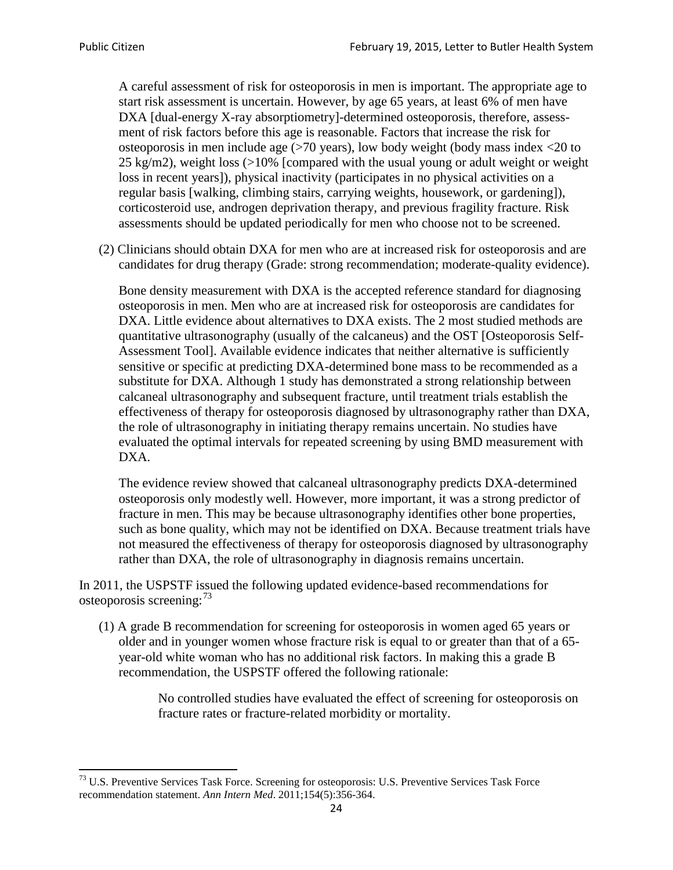A careful assessment of risk for osteoporosis in men is important. The appropriate age to start risk assessment is uncertain. However, by age 65 years, at least 6% of men have DXA [dual-energy X-ray absorptiometry]-determined osteoporosis, therefore, assessment of risk factors before this age is reasonable. Factors that increase the risk for osteoporosis in men include age (>70 years), low body weight (body mass index <20 to 25 kg/m2), weight loss (>10% [compared with the usual young or adult weight or weight loss in recent years]), physical inactivity (participates in no physical activities on a regular basis [walking, climbing stairs, carrying weights, housework, or gardening]), corticosteroid use, androgen deprivation therapy, and previous fragility fracture. Risk assessments should be updated periodically for men who choose not to be screened.

(2) Clinicians should obtain DXA for men who are at increased risk for osteoporosis and are candidates for drug therapy (Grade: strong recommendation; moderate-quality evidence).

Bone density measurement with DXA is the accepted reference standard for diagnosing osteoporosis in men. Men who are at increased risk for osteoporosis are candidates for DXA. Little evidence about alternatives to DXA exists. The 2 most studied methods are quantitative ultrasonography (usually of the calcaneus) and the OST [Osteoporosis Self-Assessment Tool]. Available evidence indicates that neither alternative is sufficiently sensitive or specific at predicting DXA-determined bone mass to be recommended as a substitute for DXA. Although 1 study has demonstrated a strong relationship between calcaneal ultrasonography and subsequent fracture, until treatment trials establish the effectiveness of therapy for osteoporosis diagnosed by ultrasonography rather than DXA, the role of ultrasonography in initiating therapy remains uncertain. No studies have evaluated the optimal intervals for repeated screening by using BMD measurement with DXA.

The evidence review showed that calcaneal ultrasonography predicts DXA-determined osteoporosis only modestly well. However, more important, it was a strong predictor of fracture in men. This may be because ultrasonography identifies other bone properties, such as bone quality, which may not be identified on DXA. Because treatment trials have not measured the effectiveness of therapy for osteoporosis diagnosed by ultrasonography rather than DXA, the role of ultrasonography in diagnosis remains uncertain.

In 2011, the USPSTF issued the following updated evidence-based recommendations for osteoporosis screening:<sup>[73](#page-23-0)</sup>

(1) A grade B recommendation for screening for osteoporosis in women aged 65 years or older and in younger women whose fracture risk is equal to or greater than that of a 65 year-old white woman who has no additional risk factors. In making this a grade B recommendation, the USPSTF offered the following rationale:

> No controlled studies have evaluated the effect of screening for osteoporosis on fracture rates or fracture-related morbidity or mortality.

<span id="page-23-0"></span><sup>&</sup>lt;sup>73</sup> U.S. Preventive Services Task Force. Screening for osteoporosis: U.S. Preventive Services Task Force recommendation statement. *Ann Intern Med*. 2011;154(5):356-364.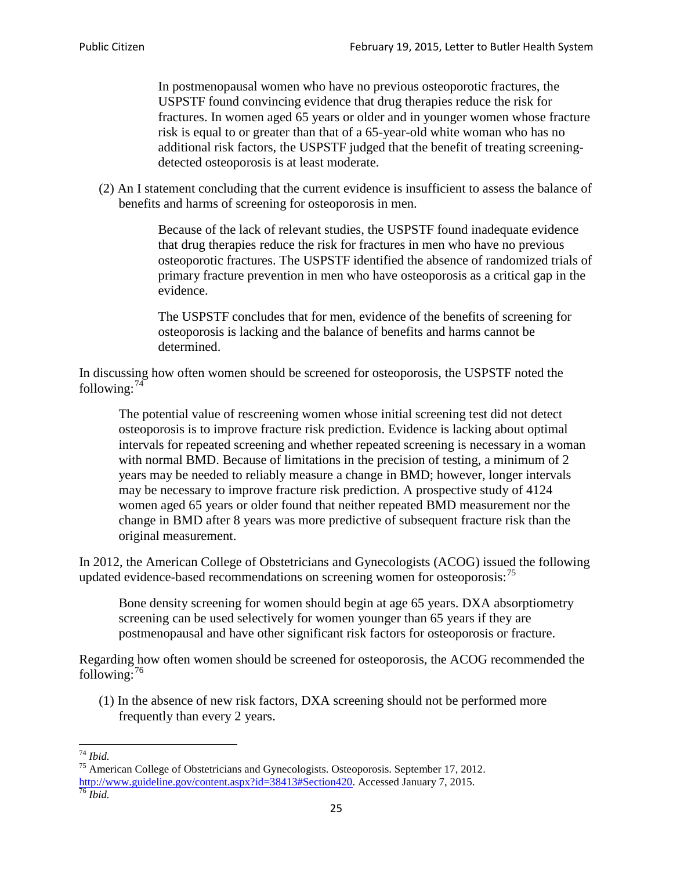In postmenopausal women who have no previous osteoporotic fractures, the USPSTF found convincing evidence that drug therapies reduce the risk for fractures. In women aged 65 years or older and in younger women whose fracture risk is equal to or greater than that of a 65-year-old white woman who has no additional risk factors, the USPSTF judged that the benefit of treating screeningdetected osteoporosis is at least moderate.

(2) An I statement concluding that the current evidence is insufficient to assess the balance of benefits and harms of screening for osteoporosis in men.

> Because of the lack of relevant studies, the USPSTF found inadequate evidence that drug therapies reduce the risk for fractures in men who have no previous osteoporotic fractures. The USPSTF identified the absence of randomized trials of primary fracture prevention in men who have osteoporosis as a critical gap in the evidence.

The USPSTF concludes that for men, evidence of the benefits of screening for osteoporosis is lacking and the balance of benefits and harms cannot be determined.

In discussing how often women should be screened for osteoporosis, the USPSTF noted the following: $74$ 

The potential value of rescreening women whose initial screening test did not detect osteoporosis is to improve fracture risk prediction. Evidence is lacking about optimal intervals for repeated screening and whether repeated screening is necessary in a woman with normal BMD. Because of limitations in the precision of testing, a minimum of 2 years may be needed to reliably measure a change in BMD; however, longer intervals may be necessary to improve fracture risk prediction. A prospective study of 4124 women aged 65 years or older found that neither repeated BMD measurement nor the change in BMD after 8 years was more predictive of subsequent fracture risk than the original measurement.

In 2012, the American College of Obstetricians and Gynecologists (ACOG) issued the following updated evidence-based recommendations on screening women for osteoporosis:<sup>[75](#page-24-1)</sup>

Bone density screening for women should begin at age 65 years. DXA absorptiometry screening can be used selectively for women younger than 65 years if they are postmenopausal and have other significant risk factors for osteoporosis or fracture.

Regarding how often women should be screened for osteoporosis, the ACOG recommended the following: $^{76}$  $^{76}$  $^{76}$ 

(1) In the absence of new risk factors, DXA screening should not be performed more frequently than every 2 years.

<span id="page-24-2"></span><span id="page-24-1"></span><span id="page-24-0"></span><sup>74</sup> *Ibid.* <sup>75</sup> American College of Obstetricians and Gynecologists. Osteoporosis. September 17, 2012. [http://www.guideline.gov/content.aspx?id=38413#Section420.](http://www.guideline.gov/content.aspx?id=38413#Section420) Accessed January 7, 2015.<br><sup>76</sup> *Ibid.*